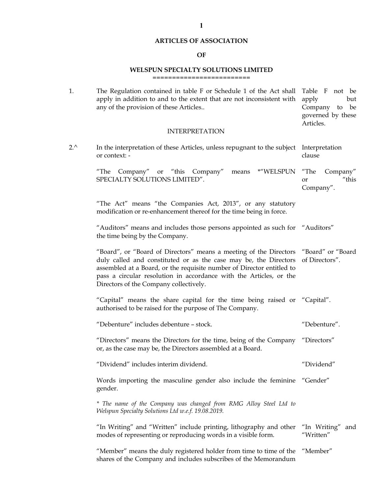# **ARTICLES OF ASSOCIATION**

# **OF**

# **WELSPUN SPECIALTY SOLUTIONS LIMITED**

#### =========================

| 1.            | The Regulation contained in table F or Schedule 1 of the Act shall<br>apply in addition to and to the extent that are not inconsistent with<br>any of the provision of these Articles                                                                                                                                          | Table F not be<br>apply<br>but<br>Company to be<br>governed by these<br>Articles. |
|---------------|--------------------------------------------------------------------------------------------------------------------------------------------------------------------------------------------------------------------------------------------------------------------------------------------------------------------------------|-----------------------------------------------------------------------------------|
|               | <b>INTERPRETATION</b>                                                                                                                                                                                                                                                                                                          |                                                                                   |
| $2.^{\wedge}$ | In the interpretation of these Articles, unless repugnant to the subject<br>or context: -                                                                                                                                                                                                                                      | Interpretation<br>clause                                                          |
|               | "The Company" or "this Company"<br>*"WELSPUN<br>means<br>SPECIALTY SOLUTIONS LIMITED".                                                                                                                                                                                                                                         | $^{\prime\prime}$ The<br>Company"<br>$"$ this<br>or<br>Company".                  |
|               | "The Act" means "the Companies Act, 2013", or any statutory<br>modification or re-enhancement thereof for the time being in force.                                                                                                                                                                                             |                                                                                   |
|               | "Auditors" means and includes those persons appointed as such for "Auditors"<br>the time being by the Company.                                                                                                                                                                                                                 |                                                                                   |
|               | "Board", or "Board of Directors" means a meeting of the Directors<br>duly called and constituted or as the case may be, the Directors<br>assembled at a Board, or the requisite number of Director entitled to<br>pass a circular resolution in accordance with the Articles, or the<br>Directors of the Company collectively. | "Board" or "Board<br>of Directors".                                               |
|               | "Capital" means the share capital for the time being raised or "Capital".<br>authorised to be raised for the purpose of The Company.                                                                                                                                                                                           |                                                                                   |
|               | "Debenture" includes debenture - stock.                                                                                                                                                                                                                                                                                        | "Debenture".                                                                      |
|               | "Directors" means the Directors for the time, being of the Company "Directors"<br>or, as the case may be, the Directors assembled at a Board.                                                                                                                                                                                  |                                                                                   |
|               | "Dividend" includes interim dividend.                                                                                                                                                                                                                                                                                          | "Dividend"                                                                        |
|               | Words importing the masculine gender also include the feminine "Gender"<br>gender.                                                                                                                                                                                                                                             |                                                                                   |
|               | * The name of the Company was changed from RMG Alloy Steel Ltd to<br>Welspun Specialty Solutions Ltd w.e.f. 19.08.2019.                                                                                                                                                                                                        |                                                                                   |
|               | "In Writing" and "Written" include printing, lithography and other<br>modes of representing or reproducing words in a visible form.                                                                                                                                                                                            | "In Writing"<br>and<br>"Written"                                                  |
|               | "Member" means the duly registered holder from time to time of the<br>shares of the Company and includes subscribes of the Memorandum                                                                                                                                                                                          | "Member"                                                                          |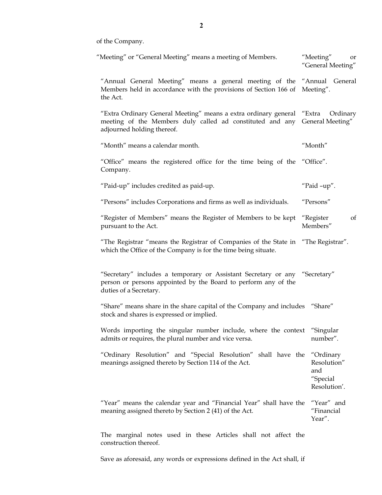of the Company.

| "Meeting" or "General Meeting" means a meeting of Members.                                                                                                                         | "Meeting"<br>or<br>"General Meeting"                        |
|------------------------------------------------------------------------------------------------------------------------------------------------------------------------------------|-------------------------------------------------------------|
| "Annual General Meeting" means a general meeting of the<br>Members held in accordance with the provisions of Section 166 of<br>the Act.                                            | "Annual General<br>Meeting".                                |
| "Extra Ordinary General Meeting" means a extra ordinary general "Extra<br>meeting of the Members duly called ad constituted and any General Meeting"<br>adjourned holding thereof. | Ordinary                                                    |
| "Month" means a calendar month.                                                                                                                                                    | "Month"                                                     |
| "Office" means the registered office for the time being of the "Office".<br>Company.                                                                                               |                                                             |
| "Paid-up" includes credited as paid-up.                                                                                                                                            | "Paid -up".                                                 |
| "Persons" includes Corporations and firms as well as individuals.                                                                                                                  | "Persons"                                                   |
| "Register of Members" means the Register of Members to be kept<br>pursuant to the Act.                                                                                             | of<br>"Register<br>Members"                                 |
| "The Registrar "means the Registrar of Companies of the State in "The Registrar".<br>which the Office of the Company is for the time being situate.                                |                                                             |
| "Secretary" includes a temporary or Assistant Secretary or any "Secretary"<br>person or persons appointed by the Board to perform any of the<br>duties of a Secretary.             |                                                             |
| "Share" means share in the share capital of the Company and includes "Share"<br>stock and shares is expressed or implied.                                                          |                                                             |
| Words importing the singular number include, where the context "Singular<br>admits or requires, the plural number and vice versa.                                                  | number".                                                    |
| "Ordinary Resolution" and "Special Resolution" shall have the<br>meanings assigned thereto by Section 114 of the Act.                                                              | "Ordinary<br>Resolution"<br>and<br>"Special<br>Resolution'. |
| "Year" means the calendar year and "Financial Year" shall have the<br>meaning assigned thereto by Section 2 (41) of the Act.                                                       | "Year" and<br>"Financial<br>Year".                          |
|                                                                                                                                                                                    |                                                             |

 The marginal notes used in these Articles shall not affect the construction thereof.

Save as aforesaid, any words or expressions defined in the Act shall, if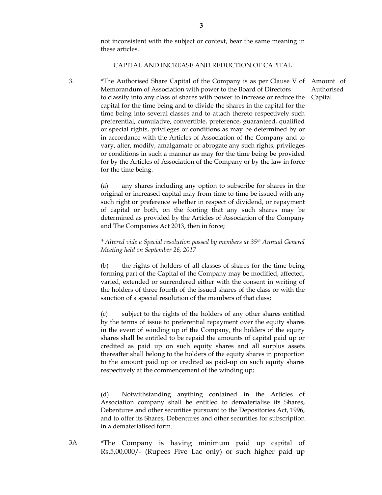not inconsistent with the subject or context, bear the same meaning in these articles.

### CAPITAL AND INCREASE AND REDUCTION OF CAPITAL

3. \*The Authorised Share Capital of the Company is as per Clause V of Amount of Memorandum of Association with power to the Board of Directors to classify into any class of shares with power to increase or reduce the capital for the time being and to divide the shares in the capital for the time being into several classes and to attach thereto respectively such preferential, cumulative, convertible, preference, guaranteed, qualified or special rights, privileges or conditions as may be determined by or in accordance with the Articles of Association of the Company and to vary, alter, modify, amalgamate or abrogate any such rights, privileges or conditions in such a manner as may for the time being be provided for by the Articles of Association of the Company or by the law in force for the time being.

> (a) any shares including any option to subscribe for shares in the original or increased capital may from time to time be issued with any such right or preference whether in respect of dividend, or repayment of capital or both, on the footing that any such shares may be determined as provided by the Articles of Association of the Company and The Companies Act 2013, then in force;

# *\* Altered vide a Special resolution passed by members at 35th Annual General Meeting held on September 26, 2017*

(b) the rights of holders of all classes of shares for the time being forming part of the Capital of the Company may be modified, affected, varied, extended or surrendered either with the consent in writing of the holders of three fourth of the issued shares of the class or with the sanction of a special resolution of the members of that class;

(c) subject to the rights of the holders of any other shares entitled by the terms of issue to preferential repayment over the equity shares in the event of winding up of the Company, the holders of the equity shares shall be entitled to be repaid the amounts of capital paid up or credited as paid up on such equity shares and all surplus assets thereafter shall belong to the holders of the equity shares in proportion to the amount paid up or credited as paid-up on such equity shares respectively at the commencement of the winding up;

(d) Notwithstanding anything contained in the Articles of Association company shall be entitled to dematerialise its Shares, Debentures and other securities pursuant to the Depositories Act, 1996, and to offer its Shares, Debentures and other securities for subscription in a dematerialised form.

3A \*The Company is having minimum paid up capital of Rs.5,00,000/- (Rupees Five Lac only) or such higher paid up

Authorised Capital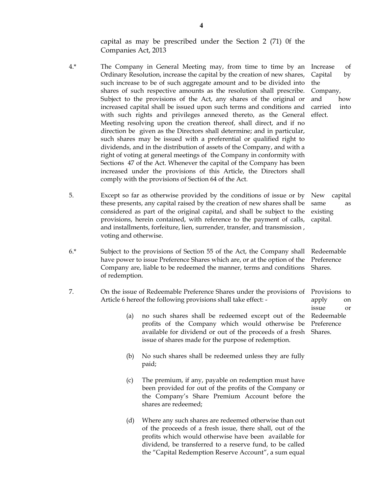capital as may be prescribed under the Section 2 (71) 0f the Companies Act, 2013

- 4.\* The Company in General Meeting may, from time to time by an Ordinary Resolution, increase the capital by the creation of new shares, such increase to be of such aggregate amount and to be divided into shares of such respective amounts as the resolution shall prescribe. Subject to the provisions of the Act, any shares of the original or increased capital shall be issued upon such terms and conditions and with such rights and privileges annexed thereto, as the General Meeting resolving upon the creation thereof, shall direct, and if no direction be given as the Directors shall determine; and in particular, such shares may be issued with a preferential or qualified right to dividends, and in the distribution of assets of the Company, and with a right of voting at general meetings of the Company in conformity with Sections 47 of the Act. Whenever the capital of the Company has been increased under the provisions of this Article, the Directors shall comply with the provisions of Section 64 of the Act. Increase of Capital by the Company, and how carried into effect.
- 5. Except so far as otherwise provided by the conditions of issue or by these presents, any capital raised by the creation of new shares shall be considered as part of the original capital, and shall be subject to the provisions, herein contained, with reference to the payment of calls, and installments, forfeiture, lien, surrender, transfer, and transmission , voting and otherwise. New capital same as existing capital.
- 6.\* Subject to the provisions of Section 55 of the Act, the Company shall have power to issue Preference Shares which are, or at the option of the Company are, liable to be redeemed the manner, terms and conditions of redemption. Redeemable Preference Shares.
- 7. On the issue of Redeemable Preference Shares under the provisions of Article 6 hereof the following provisions shall take effect: - Provisions to apply on
	- (a) no such shares shall be redeemed except out of the profits of the Company which would otherwise be available for dividend or out of the proceeds of a fresh Shares. issue of shares made for the purpose of redemption. Redeemable Preference

issue or

- (b) No such shares shall be redeemed unless they are fully paid;
- (c) The premium, if any, payable on redemption must have been provided for out of the profits of the Company or the Company's Share Premium Account before the shares are redeemed;
- (d) Where any such shares are redeemed otherwise than out of the proceeds of a fresh issue, there shall, out of the profits which would otherwise have been available for dividend, be transferred to a reserve fund, to be called the "Capital Redemption Reserve Account", a sum equal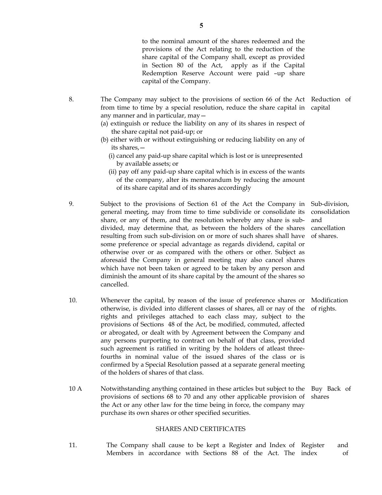to the nominal amount of the shares redeemed and the provisions of the Act relating to the reduction of the share capital of the Company shall, except as provided in Section 80 of the Act, apply as if the Capital Redemption Reserve Account were paid –up share capital of the Company.

- 8. The Company may subject to the provisions of section 66 of the Act Reduction of from time to time by a special resolution, reduce the share capital in capital any manner and in particular, may—
	- (a) extinguish or reduce the liability on any of its shares in respect of the share capital not paid-up; or
	- (b) either with or without extinguishing or reducing liability on any of its shares,—
		- (i) cancel any paid-up share capital which is lost or is unrepresented by available assets; or
		- (ii) pay off any paid-up share capital which is in excess of the wants of the company, alter its memorandum by reducing the amount of its share capital and of its shares accordingly
- 9. Subject to the provisions of Section 61 of the Act the Company in general meeting, may from time to time subdivide or consolidate its share, or any of them, and the resolution whereby any share is subdivided, may determine that, as between the holders of the shares resulting from such sub-division on or more of such shares shall have some preference or special advantage as regards dividend, capital or otherwise over or as compared with the others or other. Subject as aforesaid the Company in general meeting may also cancel shares which have not been taken or agreed to be taken by any person and diminish the amount of its share capital by the amount of the shares so cancelled. and
- 10. Whenever the capital, by reason of the issue of preference shares or otherwise, is divided into different classes of shares, all or nay of the rights and privileges attached to each class may, subject to the provisions of Sections 48 of the Act, be modified, commuted, affected or abrogated, or dealt with by Agreement between the Company and any persons purporting to contract on behalf of that class, provided such agreement is ratified in writing by the holders of atleast threefourths in nominal value of the issued shares of the class or is confirmed by a Special Resolution passed at a separate general meeting of the holders of shares of that class. Modification of rights.
- 10 A Notwithstanding anything contained in these articles but subject to the provisions of sections 68 to 70 and any other applicable provision of the Act or any other law for the time being in force, the company may purchase its own shares or other specified securities. Buy Back of shares

### SHARES AND CERTIFICATES

11. The Company shall cause to be kept a Register and Index of Register and Members in accordance with Sections 88 of the Act. The index of

Sub-division, consolidation cancellation of shares.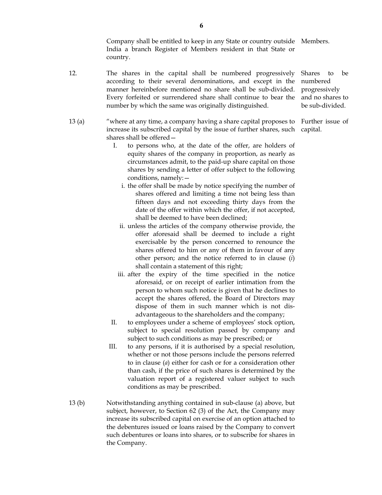Company shall be entitled to keep in any State or country outside Members. India a branch Register of Members resident in that State or country.

- 12. The shares in the capital shall be numbered progressively according to their several denominations, and except in the manner hereinbefore mentioned no share shall be sub-divided. Every forfeited or surrendered share shall continue to bear the number by which the same was originally distinguished.
- 13 (a) "where at any time, a company having a share capital proposes to increase its subscribed capital by the issue of further shares, such shares shall be offered—
	- I. to persons who, at the date of the offer, are holders of equity shares of the company in proportion, as nearly as circumstances admit, to the paid-up share capital on those shares by sending a letter of offer subject to the following conditions, namely:
		- i. the offer shall be made by notice specifying the number of shares offered and limiting a time not being less than fifteen days and not exceeding thirty days from the date of the offer within which the offer, if not accepted, shall be deemed to have been declined;
		- ii. unless the articles of the company otherwise provide, the offer aforesaid shall be deemed to include a right exercisable by the person concerned to renounce the shares offered to him or any of them in favour of any other person; and the notice referred to in clause (*i*) shall contain a statement of this right;
		- iii. after the expiry of the time specified in the notice aforesaid, or on receipt of earlier intimation from the person to whom such notice is given that he declines to accept the shares offered, the Board of Directors may dispose of them in such manner which is not disadvantageous to the shareholders and the company;
	- II. to employees under a scheme of employees' stock option, subject to special resolution passed by company and subject to such conditions as may be prescribed; or
	- III. to any persons, if it is authorised by a special resolution, whether or not those persons include the persons referred to in clause (*a*) either for cash or for a consideration other than cash, if the price of such shares is determined by the valuation report of a registered valuer subject to such conditions as may be prescribed.
- 13 (b) Notwithstanding anything contained in sub-clause (a) above, but subject, however, to Section 62 (3) of the Act, the Company may increase its subscribed capital on exercise of an option attached to the debentures issued or loans raised by the Company to convert such debentures or loans into shares, or to subscribe for shares in the Company.

**6**

Shares to be numbered progressively and no shares to be sub-divided.

Further issue of capital.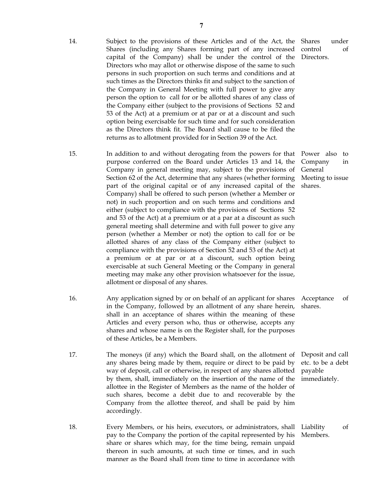- 14. Subject to the provisions of these Articles and of the Act, the Shares (including any Shares forming part of any increased capital of the Company) shall be under the control of the Directors who may allot or otherwise dispose of the same to such persons in such proportion on such terms and conditions and at such times as the Directors thinks fit and subject to the sanction of the Company in General Meeting with full power to give any person the option to call for or be allotted shares of any class of the Company either (subject to the provisions of Sections 52 and 53 of the Act) at a premium or at par or at a discount and such option being exercisable for such time and for such consideration as the Directors think fit. The Board shall cause to be filed the returns as to allotment provided for in Section 39 of the Act.
- 15. In addition to and without derogating from the powers for that purpose conferred on the Board under Articles 13 and 14, the Company in general meeting may, subject to the provisions of Section 62 of the Act, determine that any shares (whether forming part of the original capital or of any increased capital of the Company) shall be offered to such person (whether a Member or not) in such proportion and on such terms and conditions and either (subject to compliance with the provisions of Sections 52 and 53 of the Act) at a premium or at a par at a discount as such general meeting shall determine and with full power to give any person (whether a Member or not) the option to call for or be allotted shares of any class of the Company either (subject to compliance with the provisions of Section 52 and 53 of the Act) at a premium or at par or at a discount, such option being exercisable at such General Meeting or the Company in general meeting may make any other provision whatsoever for the issue, allotment or disposal of any shares.
- 16. Any application signed by or on behalf of an applicant for shares in the Company, followed by an allotment of any share herein, shall in an acceptance of shares within the meaning of these Articles and every person who, thus or otherwise, accepts any shares and whose name is on the Register shall, for the purposes of these Articles, be a Members. shares.
- 17. The moneys (if any) which the Board shall, on the allotment of any shares being made by them, require or direct to be paid by way of deposit, call or otherwise, in respect of any shares allotted by them, shall, immediately on the insertion of the name of the allottee in the Register of Members as the name of the holder of such shares, become a debit due to and recoverable by the Company from the allottee thereof, and shall be paid by him accordingly.
- 18. Every Members, or his heirs, executors, or administrators, shall pay to the Company the portion of the capital represented by his share or shares which may, for the time being, remain unpaid thereon in such amounts, at such time or times, and in such manner as the Board shall from time to time in accordance with Members.

Shares under control of Directors.

Power also to Company in General Meeting to issue shares.

Acceptance of

Deposit and call etc. to be a debt payable immediately.

Liability of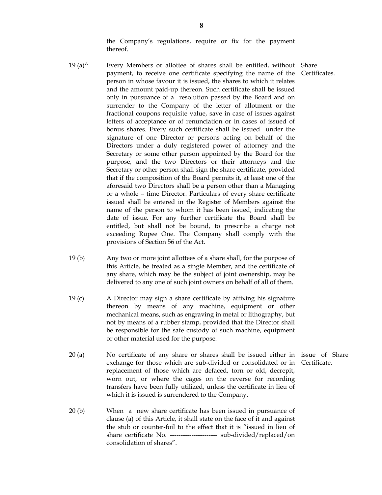the Company's regulations, require or fix for the payment thereof.

- 19 (a) $\wedge$  Every Members or allottee of shares shall be entitled, without Share payment, to receive one certificate specifying the name of the person in whose favour it is issued, the shares to which it relates and the amount paid-up thereon. Such certificate shall be issued only in pursuance of a resolution passed by the Board and on surrender to the Company of the letter of allotment or the fractional coupons requisite value, save in case of issues against letters of acceptance or of renunciation or in cases of issued of bonus shares. Every such certificate shall be issued under the signature of one Director or persons acting on behalf of the Directors under a duly registered power of attorney and the Secretary or some other person appointed by the Board for the purpose, and the two Directors or their attorneys and the Secretary or other person shall sign the share certificate, provided that if the composition of the Board permits it, at least one of the aforesaid two Directors shall be a person other than a Managing or a whole – time Director. Particulars of every share certificate issued shall be entered in the Register of Members against the name of the person to whom it has been issued, indicating the date of issue. For any further certificate the Board shall be entitled, but shall not be bound, to prescribe a charge not exceeding Rupee One. The Company shall comply with the provisions of Section 56 of the Act.
- 19 (b) Any two or more joint allottees of a share shall, for the purpose of this Article, be treated as a single Member, and the certificate of any share, which may be the subject of joint ownership, may be delivered to any one of such joint owners on behalf of all of them.
- 19 (c) A Director may sign a share certificate by affixing his signature thereon by means of any machine, equipment or other mechanical means, such as engraving in metal or lithography, but not by means of a rubber stamp, provided that the Director shall be responsible for the safe custody of such machine, equipment or other material used for the purpose.
- 20 (a) No certificate of any share or shares shall be issued either in issue of Share exchange for those which are sub-divided or consolidated or in Certificate. replacement of those which are defaced, torn or old, decrepit, worn out, or where the cages on the reverse for recording transfers have been fully utilized, unless the certificate in lieu of which it is issued is surrendered to the Company.
- 20 (b) When a new share certificate has been issued in pursuance of clause (a) of this Article, it shall state on the face of it and against the stub or counter-foil to the effect that it is "issued in lieu of share certificate No. ---------------------- sub-divided/replaced/on consolidation of shares".

Certificates.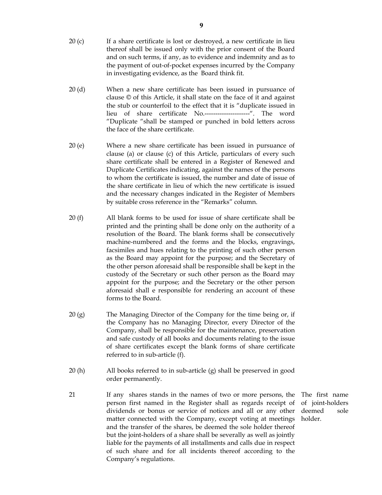- 20 (c) If a share certificate is lost or destroyed, a new certificate in lieu thereof shall be issued only with the prior consent of the Board and on such terms, if any, as to evidence and indemnity and as to the payment of out-of-pocket expenses incurred by the Company in investigating evidence, as the Board think fit.
- 20 (d) When a new share certificate has been issued in pursuance of clause © of this Article, it shall state on the face of it and against the stub or counterfoil to the effect that it is "duplicate issued in lieu of share certificate No.---------------------". The word "Duplicate "shall be stamped or punched in bold letters across the face of the share certificate.
- 20 (e) Where a new share certificate has been issued in pursuance of clause (a) or clause (c) of this Article, particulars of every such share certificate shall be entered in a Register of Renewed and Duplicate Certificates indicating, against the names of the persons to whom the certificate is issued, the number and date of issue of the share certificate in lieu of which the new certificate is issued and the necessary changes indicated in the Register of Members by suitable cross reference in the "Remarks" column.
- 20 (f) All blank forms to be used for issue of share certificate shall be printed and the printing shall be done only on the authority of a resolution of the Board. The blank forms shall be consecutively machine-numbered and the forms and the blocks, engravings, facsimiles and hues relating to the printing of such other person as the Board may appoint for the purpose; and the Secretary of the other person aforesaid shall be responsible shall be kept in the custody of the Secretary or such other person as the Board may appoint for the purpose; and the Secretary or the other person aforesaid shall e responsible for rendering an account of these forms to the Board.
- $20 (g)$  The Managing Director of the Company for the time being or, if the Company has no Managing Director, every Director of the Company, shall be responsible for the maintenance, preservation and safe custody of all books and documents relating to the issue of share certificates except the blank forms of share certificate referred to in sub-article (f).
- 20 (h) All books referred to in sub-article (g) shall be preserved in good order permanently.
- 21 If any shares stands in the names of two or more persons, the person first named in the Register shall as regards receipt of dividends or bonus or service of notices and all or any other matter connected with the Company, except voting at meetings and the transfer of the shares, be deemed the sole holder thereof but the joint-holders of a share shall be severally as well as jointly liable for the payments of all installments and calls due in respect of such share and for all incidents thereof according to the Company's regulations.

The first name of joint-holders deemed sole holder.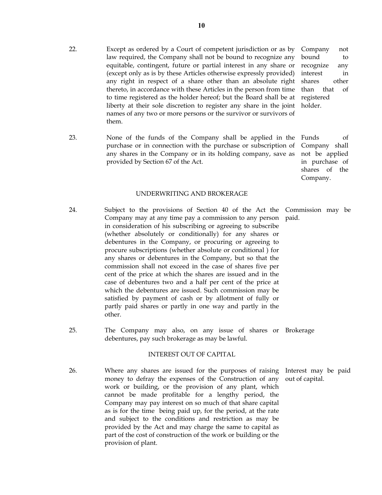- 22. Except as ordered by a Court of competent jurisdiction or as by law required, the Company shall not be bound to recognize any equitable, contingent, future or partial interest in any share or (except only as is by these Articles otherwise expressly provided) any right in respect of a share other than an absolute right thereto, in accordance with these Articles in the person from time to time registered as the holder hereof; but the Board shall be at liberty at their sole discretion to register any share in the joint names of any two or more persons or the survivor or survivors of them.
- 23. None of the funds of the Company shall be applied in the purchase or in connection with the purchase or subscription of any shares in the Company or in its holding company, save as provided by Section 67 of the Act.

# bound to recognize any interest in shares other than that of registered holder.

Company not

Funds of Company shall not be applied in purchase of shares of the Company.

# UNDERWRITING AND BROKERAGE

- 24. Subject to the provisions of Section 40 of the Act the Commission may be Company may at any time pay a commission to any person in consideration of his subscribing or agreeing to subscribe (whether absolutely or conditionally) for any shares or debentures in the Company, or procuring or agreeing to procure subscriptions (whether absolute or conditional ) for any shares or debentures in the Company, but so that the commission shall not exceed in the case of shares five per cent of the price at which the shares are issued and in the case of debentures two and a half per cent of the price at which the debentures are issued. Such commission may be satisfied by payment of cash or by allotment of fully or partly paid shares or partly in one way and partly in the other.
- 25. The Company may also, on any issue of shares or Brokerage debentures, pay such brokerage as may be lawful.

### INTEREST OUT OF CAPITAL

26. Where any shares are issued for the purposes of raising money to defray the expenses of the Construction of any work or building, or the provision of any plant, which cannot be made profitable for a lengthy period, the Company may pay interest on so much of that share capital as is for the time being paid up, for the period, at the rate and subject to the conditions and restriction as may be provided by the Act and may charge the same to capital as part of the cost of construction of the work or building or the provision of plant. Interest may be paid out of capital.

paid.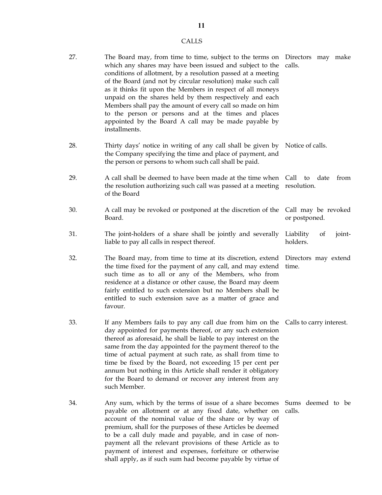# CALLS

| 27. | The Board may, from time to time, subject to the terms on Directors may make<br>which any shares may have been issued and subject to the<br>conditions of allotment, by a resolution passed at a meeting<br>of the Board (and not by circular resolution) make such call<br>as it thinks fit upon the Members in respect of all moneys<br>unpaid on the shares held by them respectively and each<br>Members shall pay the amount of every call so made on him<br>to the person or persons and at the times and places<br>appointed by the Board A call may be made payable by<br>installments. | calls.                                |
|-----|-------------------------------------------------------------------------------------------------------------------------------------------------------------------------------------------------------------------------------------------------------------------------------------------------------------------------------------------------------------------------------------------------------------------------------------------------------------------------------------------------------------------------------------------------------------------------------------------------|---------------------------------------|
| 28. | Thirty days' notice in writing of any call shall be given by Notice of calls.<br>the Company specifying the time and place of payment, and<br>the person or persons to whom such call shall be paid.                                                                                                                                                                                                                                                                                                                                                                                            |                                       |
| 29. | A call shall be deemed to have been made at the time when Call<br>the resolution authorizing such call was passed at a meeting resolution.<br>of the Board                                                                                                                                                                                                                                                                                                                                                                                                                                      | from<br>to date                       |
| 30. | A call may be revoked or postponed at the discretion of the<br>Board.                                                                                                                                                                                                                                                                                                                                                                                                                                                                                                                           | Call may be revoked<br>or postponed.  |
| 31. | The joint-holders of a share shall be jointly and severally<br>liable to pay all calls in respect thereof.                                                                                                                                                                                                                                                                                                                                                                                                                                                                                      | Liability<br>joint-<br>of<br>holders. |
| 32. | The Board may, from time to time at its discretion, extend<br>the time fixed for the payment of any call, and may extend<br>such time as to all or any of the Members, who from<br>residence at a distance or other cause, the Board may deem<br>fairly entitled to such extension but no Members shall be<br>entitled to such extension save as a matter of grace and<br>favour.                                                                                                                                                                                                               | Directors may extend<br>time.         |
| 33. | If any Members fails to pay any call due from him on the Calls to carry interest.<br>day appointed for payments thereof, or any such extension<br>thereof as aforesaid, he shall be liable to pay interest on the<br>same from the day appointed for the payment thereof to the<br>time of actual payment at such rate, as shall from time to<br>time be fixed by the Board, not exceeding 15 per cent per<br>annum but nothing in this Article shall render it obligatory<br>for the Board to demand or recover any interest from any<br>such Member.                                          |                                       |
| 34. | Any sum, which by the terms of issue of a share becomes<br>payable on allotment or at any fixed date, whether on<br>account of the nominal value of the share or by way of<br>premium, shall for the purposes of these Articles be deemed<br>to be a call duly made and payable, and in case of non-<br>payment all the relevant provisions of these Article as to<br>payment of interest and expenses, forfeiture or otherwise<br>shall apply, as if such sum had become payable by virtue of                                                                                                  | Sums deemed to be<br>calls.           |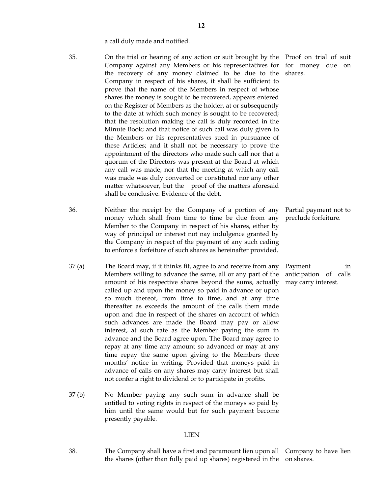a call duly made and notified.

- 35. On the trial or hearing of any action or suit brought by the Company against any Members or his representatives for the recovery of any money claimed to be due to the Company in respect of his shares, it shall be sufficient to prove that the name of the Members in respect of whose shares the money is sought to be recovered, appears entered on the Register of Members as the holder, at or subsequently to the date at which such money is sought to be recovered; that the resolution making the call is duly recorded in the Minute Book; and that notice of such call was duly given to the Members or his representatives sued in pursuance of these Articles; and it shall not be necessary to prove the appointment of the directors who made such call nor that a quorum of the Directors was present at the Board at which any call was made, nor that the meeting at which any call was made was duly converted or constituted nor any other matter whatsoever, but the proof of the matters aforesaid shall be conclusive. Evidence of the debt.
- 36. Neither the receipt by the Company of a portion of any money which shall from time to time be due from any Member to the Company in respect of his shares, either by way of principal or interest not nay indulgence granted by the Company in respect of the payment of any such ceding to enforce a forfeiture of such shares as hereinafter provided.
- 37 (a) The Board may, if it thinks fit, agree to and receive from any Members willing to advance the same, all or any part of the amount of his respective shares beyond the sums, actually called up and upon the money so paid in advance or upon so much thereof, from time to time, and at any time thereafter as exceeds the amount of the calls them made upon and due in respect of the shares on account of which such advances are made the Board may pay or allow interest, at such rate as the Member paying the sum in advance and the Board agree upon. The Board may agree to repay at any time any amount so advanced or may at any time repay the same upon giving to the Members three months' notice in writing. Provided that moneys paid in advance of calls on any shares may carry interest but shall not confer a right to dividend or to participate in profits.
- 37 (b) No Member paying any such sum in advance shall be entitled to voting rights in respect of the moneys so paid by him until the same would but for such payment become presently payable.

# LIEN

38. The Company shall have a first and paramount lien upon all Company to have lien the shares (other than fully paid up shares) registered in the on shares.

Proof on trial of suit for money due on shares.

Partial payment not to preclude forfeiture.

Payment in anticipation of calls may carry interest.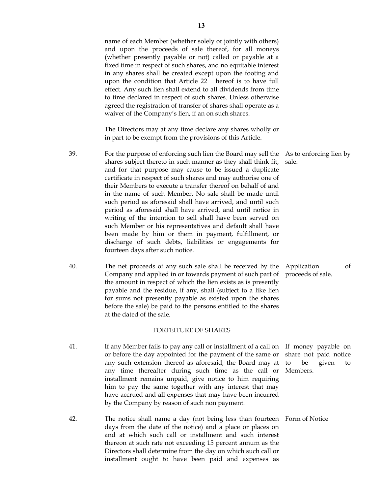name of each Member (whether solely or jointly with others) and upon the proceeds of sale thereof, for all moneys (whether presently payable or not) called or payable at a fixed time in respect of such shares, and no equitable interest in any shares shall be created except upon the footing and upon the condition that Article 22 hereof is to have full effect. Any such lien shall extend to all dividends from time to time declared in respect of such shares. Unless otherwise agreed the registration of transfer of shares shall operate as a waiver of the Company's lien, if an on such shares.

The Directors may at any time declare any shares wholly or in part to be exempt from the provisions of this Article.

- 39. For the purpose of enforcing such lien the Board may sell the shares subject thereto in such manner as they shall think fit, and for that purpose may cause to be issued a duplicate certificate in respect of such shares and may authorise one of their Members to execute a transfer thereof on behalf of and in the name of such Member. No sale shall be made until such period as aforesaid shall have arrived, and until such period as aforesaid shall have arrived, and until notice in writing of the intention to sell shall have been served on such Member or his representatives and default shall have been made by him or them in payment, fulfillment, or discharge of such debts, liabilities or engagements for fourteen days after such notice. sale.
- 40. The net proceeds of any such sale shall be received by the Company and applied in or towards payment of such part of the amount in respect of which the lien exists as is presently payable and the residue, if any, shall (subject to a like lien for sums not presently payable as existed upon the shares before the sale) be paid to the persons entitled to the shares at the dated of the sale.

### FORFEITURE OF SHARES

- 41. If any Member fails to pay any call or installment of a call on or before the day appointed for the payment of the same or any such extension thereof as aforesaid, the Board may at any time thereafter during such time as the call or installment remains unpaid, give notice to him requiring him to pay the same together with any interest that may have accrued and all expenses that may have been incurred by the Company by reason of such non payment. Members.
- 42. The notice shall name a day (not being less than fourteen Form of Notice days from the date of the notice) and a place or places on and at which such call or installment and such interest thereon at such rate not exceeding 15 percent annum as the Directors shall determine from the day on which such call or installment ought to have been paid and expenses as

As to enforcing lien by

Application of proceeds of sale.

If money payable on share not paid notice to be given to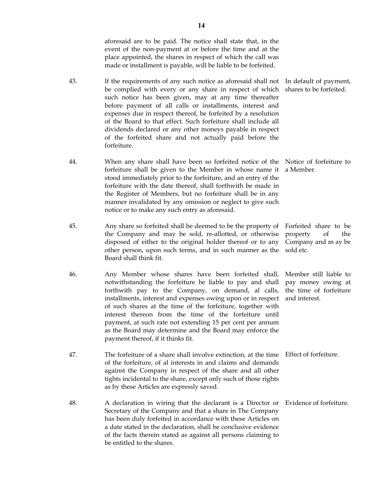aforesaid are to be paid. The notice shall state that, in the event of the non-payment at or before the time and at the place appointed, the shares in respect of which the call was made or installment is payable, will be liable to be forfeited.

- 43. If the requirements of any such notice as aforesaid shall not be complied with every or any share in respect of which such notice has been given, may at any time thereafter before payment of all calls or installments, interest and expenses due in respect thereof, be forfeited by a resolution of the Board to that effect. Such forfeiture shall include all dividends declared or any other moneys payable in respect of the forfeited share and not actually paid before the forfeiture. In default of payment, shares to be forfeited.
- 44. When any share shall have been so forfeited notice of the forfeiture shall be given to the Member in whose name it stood immediately prior to the forfeiture, and an entry of the forfeiture with the date thereof, shall forthwith be made in the Register of Members, but no forfeiture shall be in any manner invalidated by any omission or neglect to give such notice or to make any such entry as aforesaid. a Member.
- 45. Any share so forfeited shall be deemed to be the property of the Company and may be sold, re-allotted, or otherwise disposed of either to the original holder thereof or to any other person, upon such terms, and in such manner as the Board shall think fit.
- 46. Any Member whose shares have been forfeited shall, notwithstanding the forfeiture be liable to pay and shall forthwith pay to the Company, on demand, al calls, installments, interest and expenses owing upon or in respect of such shares at the time of the forfeiture, together with interest thereon from the time of the forfeiture until payment, at such rate not extending 15 per cent per annum as the Board may determine and the Board may enforce the payment thereof, if it thinks fit.
- 47. The forfeiture of a share shall involve extinction, at the time of the forfeiture, of al interests in and claims and demands against the Company in respect of the share and all other tights incidental to the share, except only such of those rights as by these Articles are expressly saved. Effect of forfeiture.
- 48. A declaration in wiring that the declarant is a Director or Secretary of the Company and that a share in The Company has been duly forfeited in accordance with these Articles on a date stated in the declaration, shall be conclusive evidence of the facts therein stated as against all persons claiming to be entitled to the shares. Evidence of forfeiture.

Notice of forfeiture to

Forfeited share to be property of the Company and m ay be sold etc.

Member still liable to pay money owing at the time of forfeiture and interest.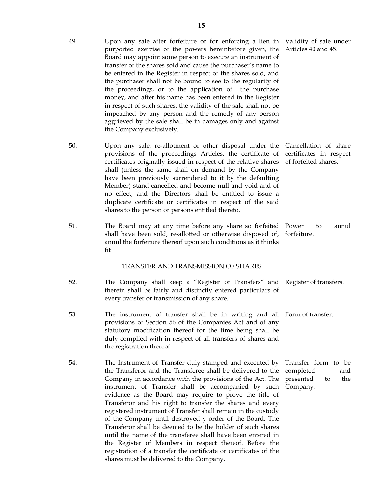49. Upon any sale after forfeiture or for enforcing a lien in purported exercise of the powers hereinbefore given, the Board may appoint some person to execute an instrument of transfer of the shares sold and cause the purchaser's name to be entered in the Register in respect of the shares sold, and the purchaser shall not be bound to see to the regularity of the proceedings, or to the application of the purchase money, and after his name has been entered in the Register in respect of such shares, the validity of the sale shall not be impeached by any person and the remedy of any person aggrieved by the sale shall be in damages only and against the Company exclusively. Validity of sale under Articles 40 and 45. 50. Upon any sale, re-allotment or other disposal under the provisions of the proceedings Articles, the certificate of certificates originally issued in respect of the relative shares shall (unless the same shall on demand by the Company have been previously surrendered to it by the defaulting Member) stand cancelled and become null and void and of no effect, and the Directors shall be entitled to issue a duplicate certificate or certificates in respect of the said shares to the person or persons entitled thereto. Cancellation of share certificates in respect of forfeited shares. 51. The Board may at any time before any share so forfeited shall have been sold, re-allotted or otherwise disposed of, annul the forfeiture thereof upon such conditions as it thinks fit Power to annul forfeiture. TRANSFER AND TRANSMISSION OF SHARES 52. The Company shall keep a "Register of Transfers" and Register of transfers. therein shall be fairly and distinctly entered particulars of every transfer or transmission of any share. 53 The instrument of transfer shall be in writing and all Form of transfer. provisions of Section 56 of the Companies Act and of any statutory modification thereof for the time being shall be duly complied with in respect of all transfers of shares and the registration thereof. 54. The Instrument of Transfer duly stamped and executed by the Transferor and the Transferee shall be delivered to the Company in accordance with the provisions of the Act. The instrument of Transfer shall be accompanied by such evidence as the Board may require to prove the title of Transferor and his right to transfer the shares and every registered instrument of Transfer shall remain in the custody of the Company until destroyed y order of the Board. The Transferor shall be deemed to be the holder of such shares until the name of the transferee shall have been entered in the Register of Members in respect thereof. Before the Transfer form to be completed and presented to the Company.

registration of a transfer the certificate or certificates of the

shares must be delivered to the Company.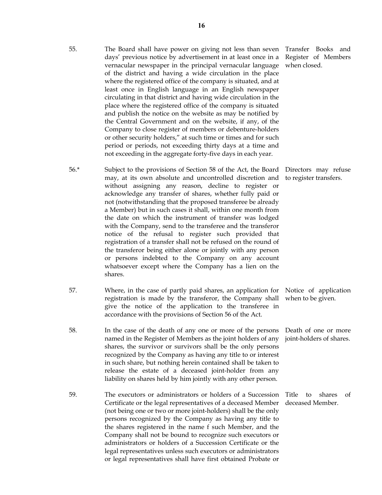55. The Board shall have power on giving not less than seven days' previous notice by advertisement in at least once in a vernacular newspaper in the principal vernacular language of the district and having a wide circulation in the place where the registered office of the company is situated, and at least once in English language in an English newspaper circulating in that district and having wide circulation in the place where the registered office of the company is situated and publish the notice on the website as may be notified by the Central Government and on the website, if any, of the Company to close register of members or debenture-holders or other security holders," at such time or times and for such period or periods, not exceeding thirty days at a time and not exceeding in the aggregate forty-five days in each year.

Transfer Books and Register of Members when closed.

Directors may refuse to register transfers.

- 56.\* Subject to the provisions of Section 58 of the Act, the Board may, at its own absolute and uncontrolled discretion and without assigning any reason, decline to register or acknowledge any transfer of shares, whether fully paid or not (notwithstanding that the proposed transferee be already a Member) but in such cases it shall, within one month from the date on which the instrument of transfer was lodged with the Company, send to the transferee and the transferor notice of the refusal to register such provided that registration of a transfer shall not be refused on the round of the transferor being either alone or jointly with any person or persons indebted to the Company on any account whatsoever except where the Company has a lien on the shares.
- 57. Where, in the case of partly paid shares, an application for registration is made by the transferor, the Company shall give the notice of the application to the transferee in accordance with the provisions of Section 56 of the Act. Notice of application when to be given.
- 58. In the case of the death of any one or more of the persons named in the Register of Members as the joint holders of any shares, the survivor or survivors shall be the only persons recognized by the Company as having any title to or interest in such share, but nothing herein contained shall be taken to release the estate of a deceased joint-holder from any liability on shares held by him jointly with any other person. Death of one or more joint-holders of shares.
- 59. The executors or administrators or holders of a Succession Certificate or the legal representatives of a deceased Member (not being one or two or more joint-holders) shall be the only persons recognized by the Company as having any title to the shares registered in the name f such Member, and the Company shall not be bound to recognize such executors or administrators or holders of a Succession Certificate or the legal representatives unless such executors or administrators or legal representatives shall have first obtained Probate or Title to shares of deceased Member.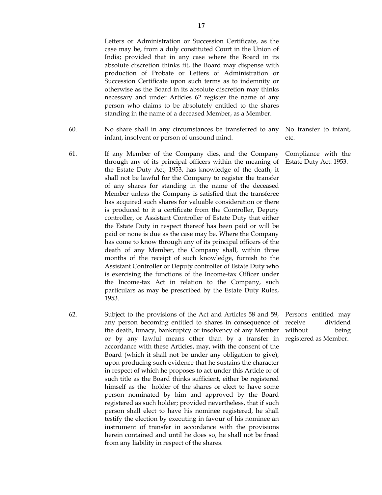Letters or Administration or Succession Certificate, as the case may be, from a duly constituted Court in the Union of India; provided that in any case where the Board in its absolute discretion thinks fit, the Board may dispense with production of Probate or Letters of Administration or Succession Certificate upon such terms as to indemnity or otherwise as the Board in its absolute discretion may thinks necessary and under Articles 62 register the name of any person who claims to be absolutely entitled to the shares standing in the name of a deceased Member, as a Member.

- 60. No share shall in any circumstances be transferred to any infant, insolvent or person of unsound mind. etc.
- 61. If any Member of the Company dies, and the Company through any of its principal officers within the meaning of the Estate Duty Act, 1953, has knowledge of the death, it shall not be lawful for the Company to register the transfer of any shares for standing in the name of the deceased Member unless the Company is satisfied that the transferee has acquired such shares for valuable consideration or there is produced to it a certificate from the Controller, Deputy controller, or Assistant Controller of Estate Duty that either the Estate Duty in respect thereof has been paid or will be paid or none is due as the case may be. Where the Company has come to know through any of its principal officers of the death of any Member, the Company shall, within three months of the receipt of such knowledge, furnish to the Assistant Controller or Deputy controller of Estate Duty who is exercising the functions of the Income-tax Officer under the Income-tax Act in relation to the Company, such particulars as may be prescribed by the Estate Duty Rules, 1953.
- 62. Subject to the provisions of the Act and Articles 58 and 59, any person becoming entitled to shares in consequence of the death, lunacy, bankruptcy or insolvency of any Member or by any lawful means other than by a transfer in accordance with these Articles, may, with the consent of the Board (which it shall not be under any obligation to give), upon producing such evidence that he sustains the character in respect of which he proposes to act under this Article or of such title as the Board thinks sufficient, either be registered himself as the holder of the shares or elect to have some person nominated by him and approved by the Board registered as such holder; provided nevertheless, that if such person shall elect to have his nominee registered, he shall testify the election by executing in favour of his nominee an instrument of transfer in accordance with the provisions herein contained and until he does so, he shall not be freed from any liability in respect of the shares.

No transfer to infant,

Compliance with the Estate Duty Act. 1953.

Persons entitled may receive dividend without being registered as Member.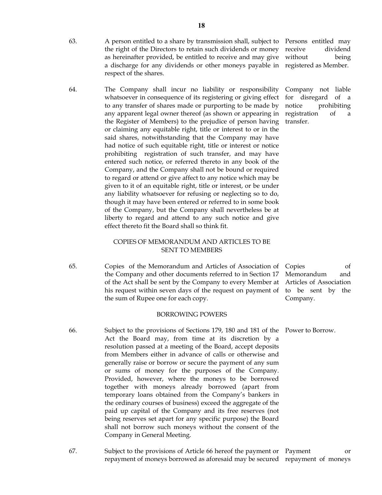- 63. A person entitled to a share by transmission shall, subject to the right of the Directors to retain such dividends or money as hereinafter provided, be entitled to receive and may give a discharge for any dividends or other moneys payable in respect of the shares.
- 64. The Company shall incur no liability or responsibility whatsoever in consequence of its registering or giving effect to any transfer of shares made or purporting to be made by any apparent legal owner thereof (as shown or appearing in the Register of Members) to the prejudice of person having or claiming any equitable right, title or interest to or in the said shares, notwithstanding that the Company may have had notice of such equitable right, title or interest or notice prohibiting registration of such transfer, and may have entered such notice, or referred thereto in any book of the Company, and the Company shall not be bound or required to regard or attend or give affect to any notice which may be given to it of an equitable right, title or interest, or be under any liability whatsoever for refusing or neglecting so to do, though it may have been entered or referred to in some book of the Company, but the Company shall nevertheless be at liberty to regard and attend to any such notice and give effect thereto fit the Board shall so think fit.

# Persons entitled may receive dividend without being registered as Member.

Company not liable for disregard of a notice prohibiting registration of a transfer.

 COPIES OF MEMORANDUM AND ARTICLES TO BE SENT TO MEMBERS

65. Copies of the Memorandum and Articles of Association of the Company and other documents referred to in Section 17 of the Act shall be sent by the Company to every Member at his request within seven days of the request on payment of the sum of Rupee one for each copy.

### BORROWING POWERS

- 66. Subject to the provisions of Sections 179, 180 and 181 of the Act the Board may, from time at its discretion by a resolution passed at a meeting of the Board, accept deposits from Members either in advance of calls or otherwise and generally raise or borrow or secure the payment of any sum or sums of money for the purposes of the Company. Provided, however, where the moneys to be borrowed together with moneys already borrowed (apart from temporary loans obtained from the Company's bankers in the ordinary courses of business) exceed the aggregate of the paid up capital of the Company and its free reserves (not being reserves set apart for any specific purpose) the Board shall not borrow such moneys without the consent of the Company in General Meeting.
- 67. Subject to the provisions of Article 66 hereof the payment or Payment or repayment of moneys borrowed as aforesaid may be secured repayment of moneys

Copies of Memorandum and Articles of Association to be sent by the Company.

Power to Borrow.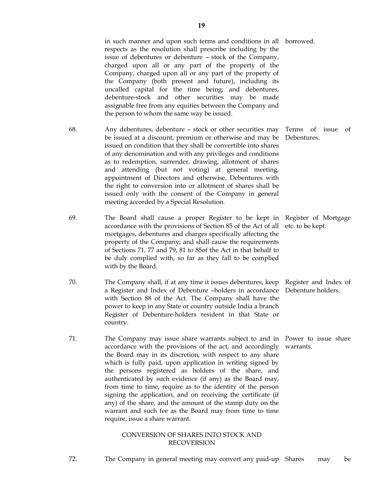in such manner and upon such terms and conditions in all borrowed. respects as the resolution shall prescribe including by the issue of debentures or debenture – stock of the Company, charged upon all or any part of the property of the Company, charged upon all or any part of the property of the Company (both present and future), including its uncalled capital for the time being; and debentures, debenture-stock and other securities may be made assignable free from any equities between the Company and the person to whom the same way be issued.

- 68. Any debentures, debenture stock or other securities may be issued at a discount, premium or otherwise and may be issued on condition that they shall be convertible into shares of any denomination and with any privileges and conditions as to redemption, surrender, drawing, allotment of shares and attending (but not voting) at general meeting, appointment of Directors and otherwise. Debentures with the right to conversion into or allotment of shares shall be issued only with the consent of the Company in general meeting accorded by a Special Resolution. Debentures.
- 69. The Board shall cause a proper Register to be kept in accordance with the provisions of Section 85 of the Act of all mortgages, debentures and charges specifically affecting the property of the Company; and shall cause the requirements of Sections 71, 77 and 79, 81 to 85of the Act in that behalf to be duly complied with, so far as they fall to be complied with by the Board. Register of Mortgage etc. to be kept.
- 70. The Company shall, if at any time it issues debentures, keep a Register and Index of Debenture –holders in accordance with Section 88 of the Act. The Company shall have the power to keep in any State or country outside India a branch Register of Debenture-holders resident in that State or country. Register and Index of
- 71. The Company may issue share warrants subject to and in Power to issue share accordance with the provisions of the act; and accordingly the Board may in its discretion, with respect to any share which is fully paid, upon application in writing signed by the persons registered as holders of the share, and authenticated by such evidence (if any) as the Board may, from time to time, require as to the identity of the person signing the application, and on receiving the certificate (if any) of the share, and the amount of the stamp duty on the warrant and such fee as the Board may from time to time require, issue a share warrant.

# CONVERSION OF SHARES INTO STOCK AND RECOVERSION

Terms of issue of

Debenture holders.

warrants.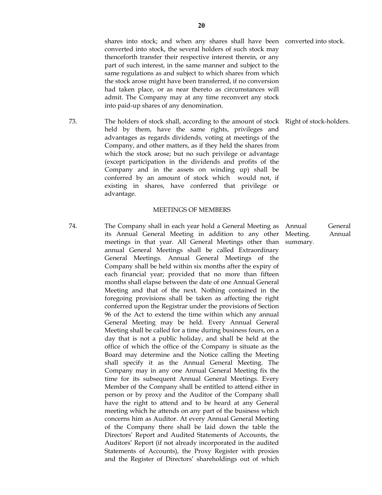shares into stock; and when any shares shall have been converted into stock. converted into stock, the several holders of such stock may thenceforth transfer their respective interest therein, or any part of such interest, in the same manner and subject to the same regulations as and subject to which shares from which the stock arose might have been transferred, if no conversion had taken place, or as near thereto as circumstances will admit. The Company may at any time reconvert any stock into paid-up shares of any denomination.

73. The holders of stock shall, according to the amount of stock Right of stock-holders. held by them, have the same rights, privileges and advantages as regards dividends, voting at meetings of the Company, and other matters, as if they held the shares from which the stock arose; but no such privilege or advantage (except participation in the dividends and profits of the Company and in the assets on winding up) shall be conferred by an amount of stock which would not, if existing in shares, have conferred that privilege or advantage.

### MEETINGS OF MEMBERS

74. The Company shall in each year hold a General Meeting as its Annual General Meeting in addition to any other meetings in that year. All General Meetings other than annual General Meetings shall be called Extraordinary General Meetings. Annual General Meetings of the Company shall be held within six months after the expiry of each financial year; provided that no more than fifteen months shall elapse between the date of one Annual General Meeting and that of the next. Nothing contained in the foregoing provisions shall be taken as affecting the right conferred upon the Registrar under the provisions of Section 96 of the Act to extend the time within which any annual General Meeting may be held. Every Annual General Meeting shall be called for a time during business fours, on a day that is not a public holiday, and shall be held at the office of which the office of the Company is situate as the Board may determine and the Notice calling the Meeting shall specify it as the Annual General Meeting. The Company may in any one Annual General Meeting fix the time for its subsequent Annual General Meetings. Every Member of the Company shall be entitled to attend either in person or by proxy and the Auditor of the Company shall have the right to attend and to be heard at any General meeting which he attends on any part of the business which concerns him as Auditor. At every Annual General Meeting of the Company there shall be laid down the table the Directors' Report and Audited Statements of Accounts, the Auditors' Report (if not already incorporated in the audited Statements of Accounts), the Proxy Register with proxies and the Register of Directors' shareholdings out of which summary.

Annual General Meeting. Annual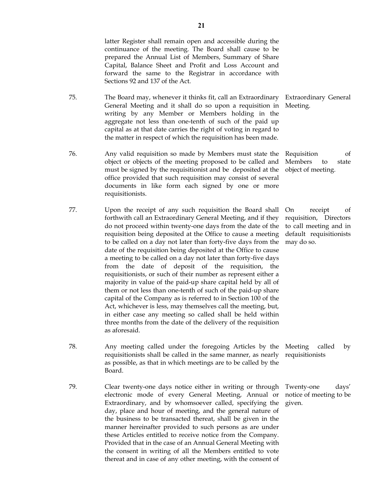latter Register shall remain open and accessible during the continuance of the meeting. The Board shall cause to be prepared the Annual List of Members, Summary of Share Capital, Balance Sheet and Profit and Loss Account and forward the same to the Registrar in accordance with Sections 92 and 137 of the Act.

75. The Board may, whenever it thinks fit, call an Extraordinary General Meeting and it shall do so upon a requisition in writing by any Member or Members holding in the aggregate not less than one-tenth of such of the paid up capital as at that date carries the right of voting in regard to the matter in respect of which the requisition has been made. Extraordinary General Meeting.

- 76. Any valid requisition so made by Members must state the object or objects of the meeting proposed to be called and must be signed by the requisitionist and be deposited at the office provided that such requisition may consist of several documents in like form each signed by one or more requisitionists. Requisition of object of meeting.
- 77. Upon the receipt of any such requisition the Board shall forthwith call an Extraordinary General Meeting, and if they do not proceed within twenty-one days from the date of the requisition being deposited at the Office to cause a meeting to be called on a day not later than forty-five days from the date of the requisition being deposited at the Office to cause a meeting to be called on a day not later than forty-five days from the date of deposit of the requisition, the requisitionists, or such of their number as represent either a majority in value of the paid-up share capital held by all of them or not less than one-tenth of such of the paid-up share capital of the Company as is referred to in Section 100 of the Act, whichever is less, may themselves call the meeting, but, in either case any meeting so called shall be held within three months from the date of the delivery of the requisition as aforesaid.
- 78. Any meeting called under the foregoing Articles by the requisitionists shall be called in the same manner, as nearly as possible, as that in which meetings are to be called by the Board. requisitionists
- 79. Clear twenty-one days notice either in writing or through electronic mode of every General Meeting, Annual or Extraordinary, and by whomsoever called, specifying the day, place and hour of meeting, and the general nature of the business to be transacted thereat, shall be given in the manner hereinafter provided to such persons as are under these Articles entitled to receive notice from the Company. Provided that in the case of an Annual General Meeting with the consent in writing of all the Members entitled to vote thereat and in case of any other meeting, with the consent of

Members to state

On receipt of requisition, Directors to call meeting and in default requisitionists may do so.

Meeting called by

Twenty-one days' notice of meeting to be given.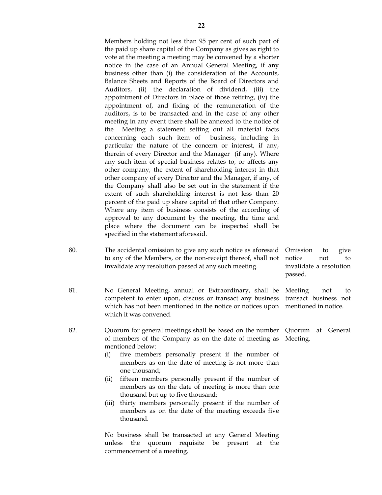Members holding not less than 95 per cent of such part of the paid up share capital of the Company as gives as right to vote at the meeting a meeting may be convened by a shorter notice in the case of an Annual General Meeting, if any business other than (i) the consideration of the Accounts, Balance Sheets and Reports of the Board of Directors and Auditors, (ii) the declaration of dividend, (iii) the appointment of Directors in place of those retiring, (iv) the appointment of, and fixing of the remuneration of the auditors, is to be transacted and in the case of any other meeting in any event there shall be annexed to the notice of the Meeting a statement setting out all material facts concerning each such item of business, including in particular the nature of the concern or interest, if any, therein of every Director and the Manager (if any). Where any such item of special business relates to, or affects any other company, the extent of shareholding interest in that other company of every Director and the Manager, if any, of the Company shall also be set out in the statement if the extent of such shareholding interest is not less than 20 percent of the paid up share capital of that other Company. Where any item of business consists of the according of approval to any document by the meeting, the time and place where the document can be inspected shall be specified in the statement aforesaid.

- 80. The accidental omission to give any such notice as aforesaid to any of the Members, or the non-receipt thereof, shall not invalidate any resolution passed at any such meeting. Omission to give notice not to invalidate a resolution
- 81. No General Meeting, annual or Extraordinary, shall be competent to enter upon, discuss or transact any business which has not been mentioned in the notice or notices upon which it was convened. Meeting not to transact business not mentioned in notice.

passed.

- 82. Quorum for general meetings shall be based on the number of members of the Company as on the date of meeting as mentioned below: Quorum at General Meeting.
	- (i) five members personally present if the number of members as on the date of meeting is not more than one thousand;
	- (ii) fifteen members personally present if the number of members as on the date of meeting is more than one thousand but up to five thousand;
	- (iii) thirty members personally present if the number of members as on the date of the meeting exceeds five thousand.

No business shall be transacted at any General Meeting unless the quorum requisite be present at the commencement of a meeting.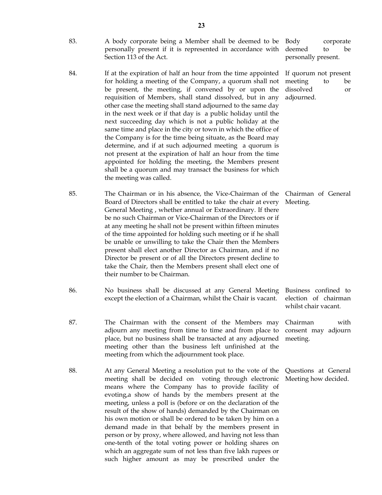- 83. A body corporate being a Member shall be deemed to be personally present if it is represented in accordance with Section 113 of the Act.
- 84. If at the expiration of half an hour from the time appointed for holding a meeting of the Company, a quorum shall not be present, the meeting, if convened by or upon the requisition of Members, shall stand dissolved, but in any other case the meeting shall stand adjourned to the same day in the next week or if that day is a public holiday until the next succeeding day which is not a public holiday at the same time and place in the city or town in which the office of the Company is for the time being situate, as the Board may determine, and if at such adjourned meeting a quorum is not present at the expiration of half an hour from the time appointed for holding the meeting, the Members present shall be a quorum and may transact the business for which the meeting was called.
- 85. The Chairman or in his absence, the Vice-Chairman of the Board of Directors shall be entitled to take the chair at every General Meeting , whether annual or Extraordinary. If there be no such Chairman or Vice-Chairman of the Directors or if at any meeting he shall not be present within fifteen minutes of the time appointed for holding such meeting or if he shall be unable or unwilling to take the Chair then the Members present shall elect another Director as Chairman, and if no Director be present or of all the Directors present decline to take the Chair, then the Members present shall elect one of their number to be Chairman. Meeting.
- 86. No business shall be discussed at any General Meeting except the election of a Chairman, whilst the Chair is vacant.
- 87. The Chairman with the consent of the Members may adjourn any meeting from time to time and from place to place, but no business shall be transacted at any adjourned meeting other than the business left unfinished at the meeting from which the adjournment took place. meeting.
- 88. At any General Meeting a resolution put to the vote of the meeting shall be decided on voting through electronic means where the Company has to provide facility of evoting,a show of hands by the members present at the meeting, unless a poll is (before or on the declaration of the result of the show of hands) demanded by the Chairman on his own motion or shall be ordered to be taken by him on a demand made in that behalf by the members present in person or by proxy, where allowed, and having not less than one-tenth of the total voting power or holding shares on which an aggregate sum of not less than five lakh rupees or such higher amount as may be prescribed under the

Body corporate deemed to be personally present.

If quorum not present meeting to be dissolved or adiourned.

Chairman of General

Business confined to election of chairman whilst chair vacant.

Chairman with consent may adjourn

Questions at General Meeting how decided.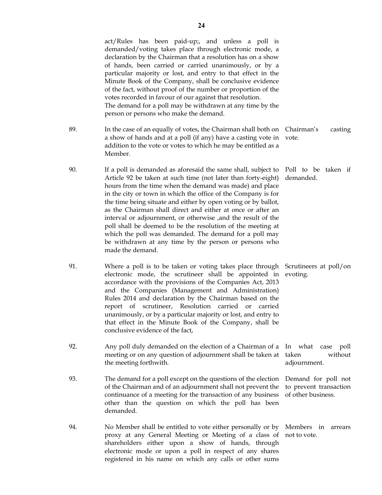act/Rules has been paid-up;, and unless a poll is demanded/voting takes place through electronic mode, a declaration by the Chairman that a resolution has on a show of hands, been carried or carried unanimously, or by a particular majority or lost, and entry to that effect in the Minute Book of the Company, shall be conclusive evidence of the fact, without proof of the number or proportion of the votes recorded in favour of our against that resolution. The demand for a poll may be withdrawn at any time by the person or persons who make the demand. 89. In the case of an equally of votes, the Chairman shall both on Chairman's casting a show of hands and at a poll (if any) have a casting vote in addition to the vote or votes to which he may be entitled as a Member. vote. 90. If a poll is demanded as aforesaid the same shall, subject to Article 92 be taken at such time (not later than forty-eight) hours from the time when the demand was made) and place in the city or town in which the office of the Company is for the time being situate and either by open voting or by ballot, as the Chairman shall direct and either at once or after an interval or adjournment, or otherwise ,and the result of the poll shall be deemed to be the resolution of the meeting at which the poll was demanded. The demand for a poll may be withdrawn at any time by the person or persons who made the demand. Poll to be taken if demanded. 91. Where a poll is to be taken or voting takes place through electronic mode, the scrutineer shall be appointed in accordance with the provisions of the Companies Act, 2013 and the Companies (Management and Administration) Rules 2014 and declaration by the Chairman based on the report of scrutineer, Resolution carried or carried unanimously, or by a particular majority or lost, and entry to that effect in the Minute Book of the Company, shall be conclusive evidence of the fact, Scrutineers at poll/on evoting. 92. Any poll duly demanded on the election of a Chairman of a meeting or on any question of adjournment shall be taken at the meeting forthwith. In what case poll taken without adjournment. 93. The demand for a poll except on the questions of the election of the Chairman and of an adjournment shall not prevent the continuance of a meeting for the transaction of any business other than the question on which the poll has been demanded. Demand for poll not to prevent transaction of other business. 94. No Member shall be entitled to vote either personally or by proxy at any General Meeting or Meeting of a class of shareholders either upon a show of hands, through electronic mode or upon a poll in respect of any shares registered in his name on which any calls or other sums Members in arrears not to vote.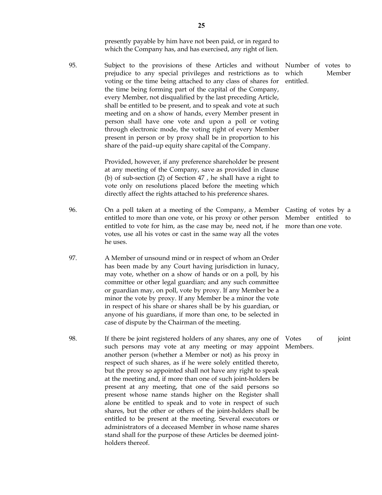presently payable by him have not been paid, or in regard to which the Company has, and has exercised, any right of lien.

95. Subject to the provisions of these Articles and without prejudice to any special privileges and restrictions as to voting or the time being attached to any class of shares for the time being forming part of the capital of the Company, every Member, not disqualified by the last preceding Article, shall be entitled to be present, and to speak and vote at such meeting and on a show of hands, every Member present in person shall have one vote and upon a poll or voting through electronic mode, the voting right of every Member present in person or by proxy shall be in proportion to his share of the paid–up equity share capital of the Company.

> Provided, however, if any preference shareholder be present at any meeting of the Company, save as provided in clause (b) of sub-section (2) of Section 47 , he shall have a right to vote only on resolutions placed before the meeting which directly affect the rights attached to his preference shares.

- 96. On a poll taken at a meeting of the Company, a Member entitled to more than one vote, or his proxy or other person entitled to vote for him, as the case may be, need not, if he votes, use all his votes or cast in the same way all the votes he uses. more than one vote.
- 97. A Member of unsound mind or in respect of whom an Order has been made by any Court having jurisdiction in lunacy, may vote, whether on a show of hands or on a poll, by his committee or other legal guardian; and any such committee or guardian may, on poll, vote by proxy. If any Member be a minor the vote by proxy. If any Member be a minor the vote in respect of his share or shares shall be by his guardian, or anyone of his guardians, if more than one, to be selected in case of dispute by the Chairman of the meeting.
- 98. If there be joint registered holders of any shares, any one of such persons may vote at any meeting or may appoint another person (whether a Member or not) as his proxy in respect of such shares, as if he were solely entitled thereto, but the proxy so appointed shall not have any right to speak at the meeting and, if more than one of such joint-holders be present at any meeting, that one of the said persons so present whose name stands higher on the Register shall alone be entitled to speak and to vote in respect of such shares, but the other or others of the joint-holders shall be entitled to be present at the meeting. Several executors or administrators of a deceased Member in whose name shares stand shall for the purpose of these Articles be deemed jointholders thereof.

Casting of votes by a Member entitled to

Votes of joint Members.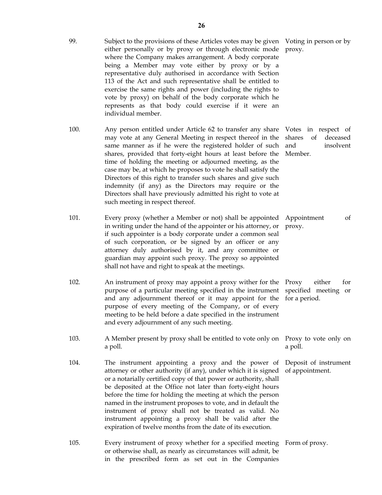individual member.

representative duly authorised in accordance with Section 113 of the Act and such representative shall be entitled to exercise the same rights and power (including the rights to vote by proxy) on behalf of the body corporate which he represents as that body could exercise if it were an Voting in person or by proxy.

- 100. Any person entitled under Article 62 to transfer any share may vote at any General Meeting in respect thereof in the same manner as if he were the registered holder of such shares, provided that forty-eight hours at least before the time of holding the meeting or adjourned meeting, as the case may be, at which he proposes to vote he shall satisfy the Directors of this right to transfer such shares and give such indemnity (if any) as the Directors may require or the Directors shall have previously admitted his right to vote at such meeting in respect thereof. Votes in respect of shares of deceased and insolvent Member.
- 101. Every proxy (whether a Member or not) shall be appointed in writing under the hand of the appointer or his attorney, or if such appointer is a body corporate under a common seal of such corporation, or be signed by an officer or any attorney duly authorised by it, and any committee or guardian may appoint such proxy. The proxy so appointed shall not have and right to speak at the meetings. Appointment of proxy.
- 102. An instrument of proxy may appoint a proxy wither for the purpose of a particular meeting specified in the instrument and any adjournment thereof or it may appoint for the purpose of every meeting of the Company, or of every meeting to be held before a date specified in the instrument and every adjournment of any such meeting. Proxy either for specified meeting or for a period.
- 103. A Member present by proxy shall be entitled to vote only on Proxy to vote only on a poll. a poll.
- 104. The instrument appointing a proxy and the power of attorney or other authority (if any), under which it is signed or a notarially certified copy of that power or authority, shall be deposited at the Office not later than forty-eight hours before the time for holding the meeting at which the person named in the instrument proposes to vote, and in default the instrument of proxy shall not be treated as valid. No instrument appointing a proxy shall be valid after the expiration of twelve months from the date of its execution. Deposit of instrument of appointment.
- 105. Every instrument of proxy whether for a specified meeting or otherwise shall, as nearly as circumstances will admit, be in the prescribed form as set out in the Companies Form of proxy.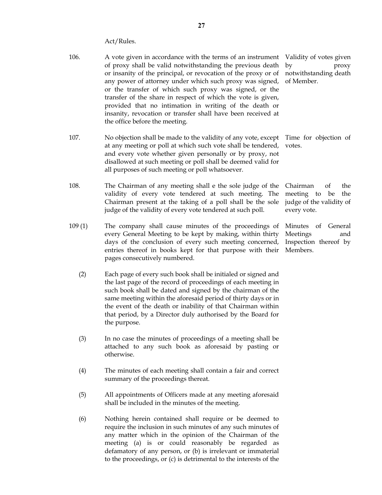Act/Rules.

- 106. A vote given in accordance with the terms of an instrument of proxy shall be valid notwithstanding the previous death or insanity of the principal, or revocation of the proxy or of any power of attorney under which such proxy was signed, or the transfer of which such proxy was signed, or the transfer of the share in respect of which the vote is given, provided that no intimation in writing of the death or insanity, revocation or transfer shall have been received at the office before the meeting.
- 107. No objection shall be made to the validity of any vote, except at any meeting or poll at which such vote shall be tendered, and every vote whether given personally or by proxy, not disallowed at such meeting or poll shall be deemed valid for all purposes of such meeting or poll whatsoever.
- 108. The Chairman of any meeting shall e the sole judge of the validity of every vote tendered at such meeting. The Chairman present at the taking of a poll shall be the sole judge of the validity of every vote tendered at such poll.
- 109 (1) The company shall cause minutes of the proceedings of every General Meeting to be kept by making, within thirty days of the conclusion of every such meeting concerned, entries thereof in books kept for that purpose with their pages consecutively numbered.
	- (2) Each page of every such book shall be initialed or signed and the last page of the record of proceedings of each meeting in such book shall be dated and signed by the chairman of the same meeting within the aforesaid period of thirty days or in the event of the death or inability of that Chairman within that period, by a Director duly authorised by the Board for the purpose.
	- (3) In no case the minutes of proceedings of a meeting shall be attached to any such book as aforesaid by pasting or otherwise.
	- (4) The minutes of each meeting shall contain a fair and correct summary of the proceedings thereat.
	- (5) All appointments of Officers made at any meeting aforesaid shall be included in the minutes of the meeting.
	- (6) Nothing herein contained shall require or be deemed to require the inclusion in such minutes of any such minutes of any matter which in the opinion of the Chairman of the meeting (a) is or could reasonably be regarded as defamatory of any person, or (b) is irrelevant or immaterial to the proceedings, or (c) is detrimental to the interests of the

Validity of votes given by proxy notwithstanding death of Member.

Time for objection of votes.

Chairman of the meeting to be the judge of the validity of every vote.

Minutes of General Meetings and Inspection thereof by Members.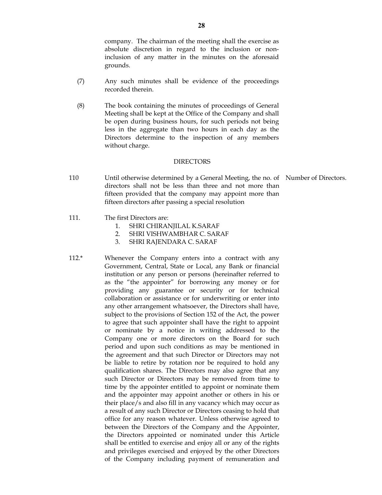company. The chairman of the meeting shall the exercise as absolute discretion in regard to the inclusion or noninclusion of any matter in the minutes on the aforesaid grounds.

- (7) Any such minutes shall be evidence of the proceedings recorded therein.
- (8) The book containing the minutes of proceedings of General Meeting shall be kept at the Office of the Company and shall be open during business hours, for such periods not being less in the aggregate than two hours in each day as the Directors determine to the inspection of any members without charge.

### DIRECTORS

- 110 Until otherwise determined by a General Meeting, the no. of Number of Directors. directors shall not be less than three and not more than fifteen provided that the company may appoint more than fifteen directors after passing a special resolution
- 111. The first Directors are:
	- 1. SHRI CHIRANJILAL K.SARAF
	- 2. SHRI VISHWAMBHAR C. SARAF
	- 3. SHRI RAJENDARA C. SARAF
- 112.\* Whenever the Company enters into a contract with any Government, Central, State or Local, any Bank or financial institution or any person or persons (hereinafter referred to as the "the appointer" for borrowing any money or for providing any guarantee or security or for technical collaboration or assistance or for underwriting or enter into any other arrangement whatsoever, the Directors shall have, subject to the provisions of Section 152 of the Act, the power to agree that such appointer shall have the right to appoint or nominate by a notice in writing addressed to the Company one or more directors on the Board for such period and upon such conditions as may be mentioned in the agreement and that such Director or Directors may not be liable to retire by rotation nor be required to hold any qualification shares. The Directors may also agree that any such Director or Directors may be removed from time to time by the appointer entitled to appoint or nominate them and the appointer may appoint another or others in his or their place/s and also fill in any vacancy which may occur as a result of any such Director or Directors ceasing to hold that office for any reason whatever. Unless otherwise agreed to between the Directors of the Company and the Appointer, the Directors appointed or nominated under this Article shall be entitled to exercise and enjoy all or any of the rights and privileges exercised and enjoyed by the other Directors of the Company including payment of remuneration and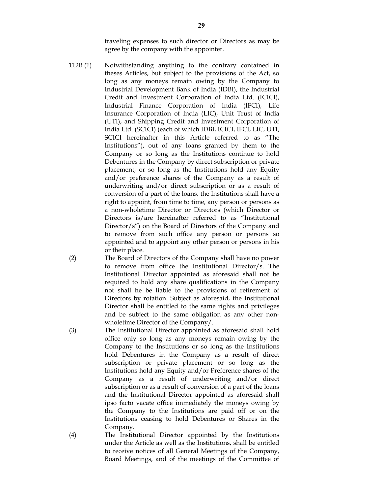traveling expenses to such director or Directors as may be agree by the company with the appointer.

112B (1) Notwithstanding anything to the contrary contained in theses Articles, but subject to the provisions of the Act, so long as any moneys remain owing by the Company to Industrial Development Bank of India (IDBI), the Industrial Credit and Investment Corporation of India Ltd. (ICICI), Industrial Finance Corporation of India (IFCI), Life Insurance Corporation of India (LIC), Unit Trust of India (UTI), and Shipping Credit and Investment Corporation of India Ltd. (SCICI) (each of which IDBI, ICICI, IFCI, LIC, UTI, SCICI hereinafter in this Article referred to as "The Institutions"), out of any loans granted by them to the Company or so long as the Institutions continue to hold Debentures in the Company by direct subscription or private placement, or so long as the Institutions hold any Equity and/or preference shares of the Company as a result of underwriting and/or direct subscription or as a result of conversion of a part of the loans, the Institutions shall have a right to appoint, from time to time, any person or persons as a non-wholetime Director or Directors (which Director or Directors is/are hereinafter referred to as "Institutional Director/s") on the Board of Directors of the Company and to remove from such office any person or persons so appointed and to appoint any other person or persons in his or their place.

(2) The Board of Directors of the Company shall have no power to remove from office the Institutional Director/s. The Institutional Director appointed as aforesaid shall not be required to hold any share qualifications in the Company not shall he be liable to the provisions of retirement of Directors by rotation. Subject as aforesaid, the Institutional Director shall be entitled to the same rights and privileges and be subject to the same obligation as any other nonwholetime Director of the Company/.

(3) The Institutional Director appointed as aforesaid shall hold office only so long as any moneys remain owing by the Company to the Institutions or so long as the Institutions hold Debentures in the Company as a result of direct subscription or private placement or so long as the Institutions hold any Equity and/or Preference shares of the Company as a result of underwriting and/or direct subscription or as a result of conversion of a part of the loans and the Institutional Director appointed as aforesaid shall ipso facto vacate office immediately the moneys owing by the Company to the Institutions are paid off or on the Institutions ceasing to hold Debentures or Shares in the Company.

(4) The Institutional Director appointed by the Institutions under the Article as well as the Institutions, shall be entitled to receive notices of all General Meetings of the Company, Board Meetings, and of the meetings of the Committee of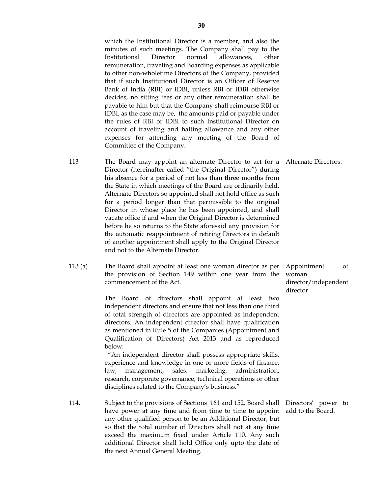which the Institutional Director is a member, and also the minutes of such meetings. The Company shall pay to the Institutional Director normal allowances, other remuneration, traveling and Boarding expenses as applicable to other non-wholetime Directors of the Company, provided that if such Institutional Director is an Officer of Reserve Bank of India (RBI) or IDBI, unless RBI or IDBI otherwise decides, no sitting fees or any other remuneration shall be payable to him but that the Company shall reimburse RBI or IDBI, as the case may be, the amounts paid or payable under the rules of RBI or IDBI to such Institutional Director on account of traveling and halting allowance and any other expenses for attending any meeting of the Board of Committee of the Company.

- 113 The Board may appoint an alternate Director to act for a Director (hereinafter called "the Original Director") during his absence for a period of not less than three months from the State in which meetings of the Board are ordinarily held. Alternate Directors so appointed shall not hold office as such for a period longer than that permissible to the original Director in whose place he has been appointed, and shall vacate office if and when the Original Director is determined before he so returns to the State aforesaid any provision for the automatic reappointment of retiring Directors in default of another appointment shall apply to the Original Director and not to the Alternate Director.
- 113 (a) The Board shall appoint at least one woman director as per the provision of Section 149 within one year from the commencement of the Act.

The Board of directors shall appoint at least two independent directors and ensure that not less than one third of total strength of directors are appointed as independent directors. An independent director shall have qualification as mentioned in Rule 5 of the Companies (Appointment and Qualification of Directors) Act 2013 and as reproduced below:

 "An independent director shall possess appropriate skills, experience and knowledge in one or more fields of finance, law, management, sales, marketing, administration, research, corporate governance, technical operations or other disciplines related to the Company's business."

114. Subject to the provisions of Sections 161 and 152, Board shall have power at any time and from time to time to appoint any other qualified person to be an Additional Director, but so that the total number of Directors shall not at any time exceed the maximum fixed under Article 110. Any such additional Director shall hold Office only upto the date of the next Annual General Meeting. add to the Board.

Alternate Directors.

Appointment of woman director/independent director

Directors' power to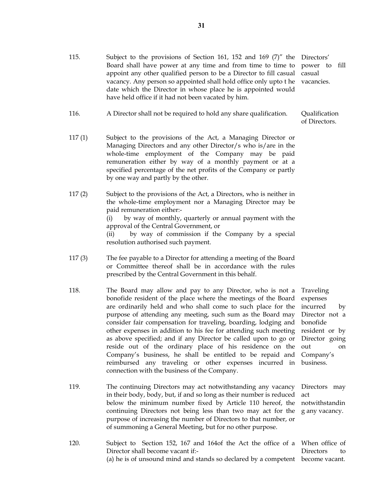- 115. Subject to the provisions of Section 161, 152 and 169 (7)" the Board shall have power at any time and from time to time to appoint any other qualified person to be a Director to fill casual vacancy. Any person so appointed shall hold office only upto t he date which the Director in whose place he is appointed would have held office if it had not been vacated by him. Directors' casual vacancies.
- 116. A Director shall not be required to hold any share qualification. Qualification
- 117 (1) Subject to the provisions of the Act, a Managing Director or Managing Directors and any other Director/s who is/are in the whole-time employment of the Company may be paid remuneration either by way of a monthly payment or at a specified percentage of the net profits of the Company or partly by one way and partly by the other.
- 117 (2) Subject to the provisions of the Act, a Directors, who is neither in the whole-time employment nor a Managing Director may be paid remuneration either:- (i) by way of monthly, quarterly or annual payment with the approval of the Central Government, or (ii) by way of commission if the Company by a special resolution authorised such payment.
- 117 (3) The fee payable to a Director for attending a meeting of the Board or Committee thereof shall be in accordance with the rules prescribed by the Central Government in this behalf.
- 118. The Board may allow and pay to any Director, who is not a bonofide resident of the place where the meetings of the Board are ordinarily held and who shall come to such place for the purpose of attending any meeting, such sum as the Board may consider fair compensation for traveling, boarding, lodging and other expenses in addition to his fee for attending such meeting as above specified; and if any Director be called upon to go or reside out of the ordinary place of his residence on the Company's business, he shall be entitled to be repaid and reimbursed any traveling or other expenses incurred in connection with the business of the Company.
- 119. The continuing Directors may act notwithstanding any vacancy in their body, body, but, if and so long as their number is reduced below the minimum number fixed by Article 110 hereof, the continuing Directors not being less than two may act for the purpose of increasing the number of Directors to that number, or of summoning a General Meeting, but for no other purpose.
- 120. Subject to Section 152, 167 and 164of the Act the office of a Director shall become vacant if:- (a) he is of unsound mind and stands so declared by a competent become vacant.When office of Directors to

Traveling expenses incurred by Director not a bonofide resident or by Director going out on Company's business.

of Directors.

Directors may act notwithstandin g any vacancy.

power to fill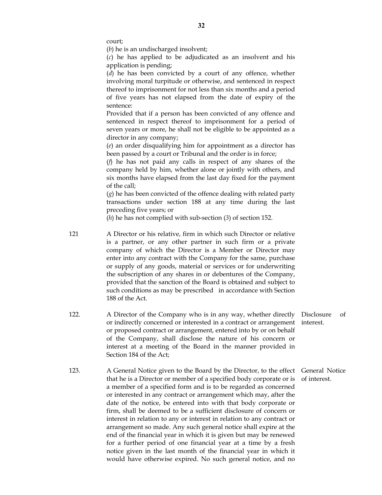court;

(*b*) he is an undischarged insolvent;

(*c*) he has applied to be adjudicated as an insolvent and his application is pending;

(*d*) he has been convicted by a court of any offence, whether involving moral turpitude or otherwise, and sentenced in respect thereof to imprisonment for not less than six months and a period of five years has not elapsed from the date of expiry of the sentence:

Provided that if a person has been convicted of any offence and sentenced in respect thereof to imprisonment for a period of seven years or more, he shall not be eligible to be appointed as a director in any company;

(*e*) an order disqualifying him for appointment as a director has been passed by a court or Tribunal and the order is in force;

(*f*) he has not paid any calls in respect of any shares of the company held by him, whether alone or jointly with others, and six months have elapsed from the last day fixed for the payment of the call;

(*g*) he has been convicted of the offence dealing with related party transactions under section 188 at any time during the last preceding five years; or

(*h*) he has not complied with sub-section (*3*) of section 152.

- 121 A Director or his relative, firm in which such Director or relative is a partner, or any other partner in such firm or a private company of which the Director is a Member or Director may enter into any contract with the Company for the same, purchase or supply of any goods, material or services or for underwriting the subscription of any shares in or debentures of the Company, provided that the sanction of the Board is obtained and subject to such conditions as may be prescribed in accordance with Section 188 of the Act.
- 122. A Director of the Company who is in any way, whether directly Disclosure of or indirectly concerned or interested in a contract or arrangement or proposed contract or arrangement, entered into by or on behalf of the Company, shall disclose the nature of his concern or interest at a meeting of the Board in the manner provided in Section 184 of the Act; interest.
- 123. A General Notice given to the Board by the Director, to the effect that he is a Director or member of a specified body corporate or is a member of a specified form and is to be regarded as concerned or interested in any contract or arrangement which may, after the date of the notice, be entered into with that body corporate or firm, shall be deemed to be a sufficient disclosure of concern or interest in relation to any or interest in relation to any contract or arrangement so made. Any such general notice shall expire at the end of the financial year in which it is given but may be renewed for a further period of one financial year at a time by a fresh notice given in the last month of the financial year in which it would have otherwise expired. No such general notice, and no General Notice of interest.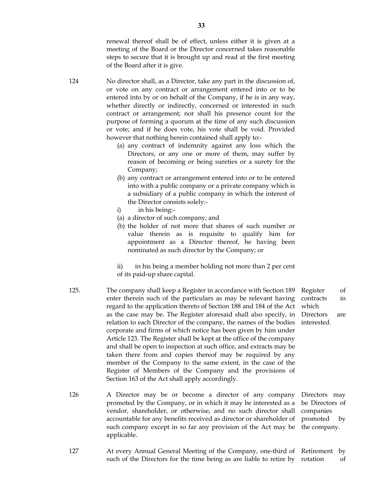renewal thereof shall be of effect, unless either it is given at a meeting of the Board or the Director concerned takes reasonable steps to secure that it is brought up and read at the first meeting of the Board after it is give.

- 124 No director shall, as a Director, take any part in the discussion of, or vote on any contract or arrangement entered into or to be entered into by or on behalf of the Company, if he is in any way, whether directly or indirectly, concerned or interested in such contract or arrangement; nor shall his presence count for the purpose of forming a quorum at the time of any such discussion or vote; and if he does vote, his vote shall be void. Provided however that nothing herein contained shall apply to:-
	- (a) any contract of indemnity against any loss which the Directors, or any one or more of them, may suffer by reason of becoming or being sureties or a surety for the Company;
	- (b) any contract or arrangement entered into or to be entered into with a public company or a private company which is a subsidiary of a public company in which the interest of the Director consists solely:-
	- i) in his being:-
	- (a) a director of such company; and
	- (b) the holder of not more that shares of such number or value therein as is requisite to qualify him for appointment as a Director thereof, he having been nominated as such director by the Company; or
	- ii) in his being a member holding not more than 2 per cent of its paid-up share capital.
- 125. The company shall keep a Register in accordance with Section 189 enter therein such of the particulars as may be relevant having regard to the application thereto of Section 188 and 184 of the Act as the case may be. The Register aforesaid shall also specify, in relation to each Director of the company, the names of the bodies corporate and firms of which notice has been given by him under Article 123. The Register shall be kept at the office of the company and shall be open to inspection at such office, and extracts may be taken there from and copies thereof may be required by any member of the Company to the same extent, in the case of the Register of Members of the Company and the provisions of Section 163 of the Act shall apply accordingly. Register of contracts in which Directors are interested.
- 126 A Director may be or become a director of any company promoted by the Company, or in which it may be interested as a vendor, shareholder, or otherwise, and no such director shall accountable for any benefits received as director or shareholder of such company except in so far any provision of the Act may be applicable. Directors may be Directors of companies promoted by the company.
- 127 At every Annual General Meeting of the Company, one-third of Retirement by such of the Directors for the time being as are liable to retire by rotation of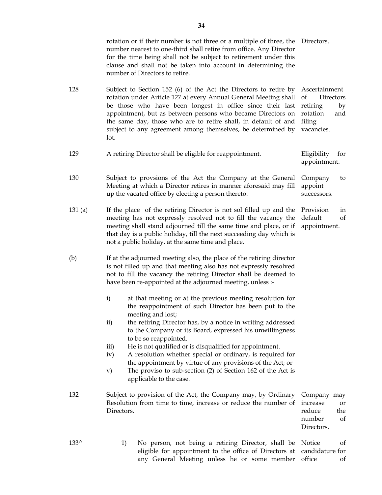rotation or if their number is not three or a multiple of three, the number nearest to one-third shall retire from office. Any Director for the time being shall not be subject to retirement under this clause and shall not be taken into account in determining the number of Directors to retire. Directors. 128 Subject to Section 152 (6) of the Act the Directors to retire by rotation under Article 127 at every Annual General Meeting shall be those who have been longest in office since their last appointment, but as between persons who became Directors on the same day, those who are to retire shall, in default of and subject to any agreement among themselves, be determined by lot. Ascertainment of Directors retiring by rotation and filing vacancies. 129 A retiring Director shall be eligible for reappointment. Eligibility for appointment. 130 Subject to provsions of the Act the Company at the General Meeting at which a Director retires in manner aforesaid may fill up the vacated office by electing a person thereto. Company to appoint successors. 131 (a) If the place of the retiring Director is not sol filled up and the meeting has not expressly resolved not to fill the vacancy the meeting shall stand adjourned till the same time and place, or if that day is a public holiday, till the next succeeding day which is not a public holiday, at the same time and place. Provision in default of appointment. (b) If at the adjourned meeting also, the place of the retiring director is not filled up and that meeting also has not expressly resolved not to fill the vacancy the retiring Director shall be deemed to have been re-appointed at the adjourned meeting, unless : i) at that meeting or at the previous meeting resolution for the reappointment of such Director has been put to the meeting and lost; ii) the retiring Director has, by a notice in writing addressed to the Company or its Board, expressed his unwillingness to be so reappointed. iii) He is not qualified or is disqualified for appointment. iv) A resolution whether special or ordinary, is required for the appointment by virtue of any provisions of the Act; or v) The proviso to sub-section (2) of Section 162 of the Act is applicable to the case. 132 Subject to provision of the Act, the Company may, by Ordinary Resolution from time to time, increase or reduce the number of Directors. Company may increase or reduce the number of Directors. 133<sup>^</sup> 1) No person, not being a retiring Director, shall be Notice of eligible for appointment to the office of Directors at candidature for

any General Meeting unless he or some member

office of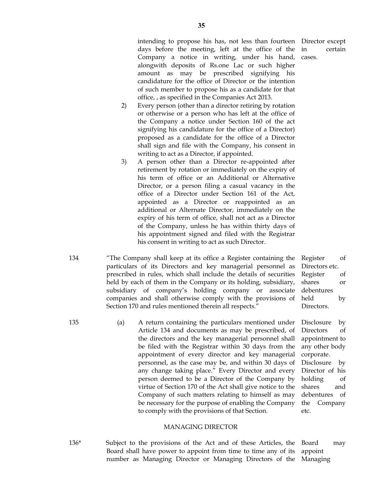intending to propose his has, not less than fourteen days before the meeting, left at the office of the Company a notice in writing, under his hand, alongwith deposits of Rs.one Lac or such higher amount as may be prescribed signifying his candidature for the office of Director or the intention of such member to propose his as a candidate for that office, , as specified in the Companies Act 2013.

- 2) Every person (other than a director retiring by rotation or otherwise or a person who has left at the office of the Company a notice under Section 160 of the act signifying his candidature for the office of a Director) proposed as a candidate for the office of a Director shall sign and file with the Company, his consent in writing to act as a Director, if appointed.
- 3) A person other than a Director re-appointed after retirement by rotation or immediately on the expiry of his term of office or an Additional or Alternative Director, or a person filing a casual vacancy in the office of a Director under Section 161 of the Act, appointed as a Director or reappointed as an additional or Alternate Director, immediately on the expiry of his term of office, shall not act as a Director of the Company, unless he has within thirty days of his appointment signed and filed with the Registrar his consent in writing to act as such Director.
- 134 "The Company shall keep at its office a Register containing the particulars of its Directors and key managerial personnel as prescribed in rules, which shall include the details of securities held by each of them in the Company or its holding, subsidiary, subsidiary of company's holding company or associate companies and shall otherwise comply with the provisions of Section 170 and rules mentioned therein all respects." Register of Directors etc. Register of shares or
- 135 (a) A return containing the particulars mentioned under Article 134 and documents as may be prescribed, of the directors and the key managerial personnel shall be filed with the Registrar within 30 days from the appointment of every director and key managerial personnel, as the case may be, and within 30 days of any change taking place." Every Director and every person deemed to be a Director of the Company by virtue of Section 170 of the Act shall give notice to the Company of such matters relating to himself as may be necessary for the purpose of enabling the Company to comply with the provisions of that Section.

### MANAGING DIRECTOR

136\* Subject to the provisions of the Act and of these Articles, the Board shall have power to appoint from time to time any of its number as Managing Director or Managing Directors of the Board may appoint Managing

Director except in certain cases.

debentures held by Directors. Disclosure by

Directors of appointment to any other body corporate. Disclosure by Director of his holding of shares and debentures of the Company etc.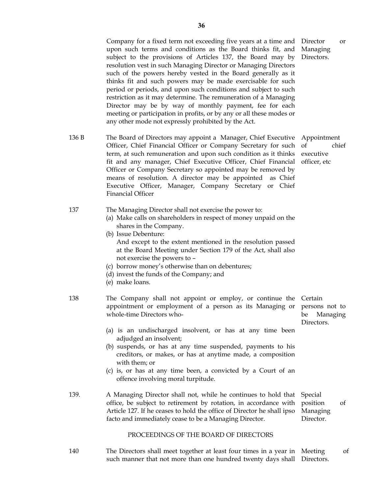Company for a fixed term not exceeding five years at a time and upon such terms and conditions as the Board thinks fit, and subject to the provisions of Articles 137, the Board may by resolution vest in such Managing Director or Managing Directors such of the powers hereby vested in the Board generally as it thinks fit and such powers may be made exercisable for such period or periods, and upon such conditions and subject to such restriction as it may determine. The remuneration of a Managing Director may be by way of monthly payment, fee for each meeting or participation in profits, or by any or all these modes or any other mode not expressly prohibited by the Act. Director or Managing Directors.

136 B The Board of Directors may appoint a Manager, Chief Executive Officer, Chief Financial Officer or Company Secretary for such term, at such remuneration and upon such condition as it thinks fit and any manager, Chief Executive Officer, Chief Financial Officer or Company Secretary so appointed may be removed by means of resolution. A director may be appointed as Chief Executive Officer, Manager, Company Secretary or Chief Financial Officer

Appointment of chief executive officer, etc

137 The Managing Director shall not exercise the power to:

- (a) Make calls on shareholders in respect of money unpaid on the shares in the Company.
- (b) Issue Debenture: And except to the extent mentioned in the resolution passed at the Board Meeting under Section 179 of the Act, shall also not exercise the powers to –
- (c) borrow money's otherwise than on debentures;
- (d) invest the funds of the Company; and
- (e) make loans.
- 138 The Company shall not appoint or employ, or continue the appointment or employment of a person as its Managing or whole-time Directors who-Certain
	- (a) is an undischarged insolvent, or has at any time been adjudged an insolvent;
	- (b) suspends, or has at any time suspended, payments to his creditors, or makes, or has at anytime made, a composition with them; or
	- (c) is, or has at any time been, a convicted by a Court of an offence involving moral turpitude.
- 139. A Managing Director shall not, while he continues to hold that office, be subject to retirement by rotation, in accordance with Article 127. If he ceases to hold the office of Director he shall ipso facto and immediately cease to be a Managing Director. Special position of Managing Director.

### PROCEEDINGS OF THE BOARD OF DIRECTORS

140 The Directors shall meet together at least four times in a year in Meeting of such manner that not more than one hundred twenty days shall Directors.

persons not to be Managing Directors.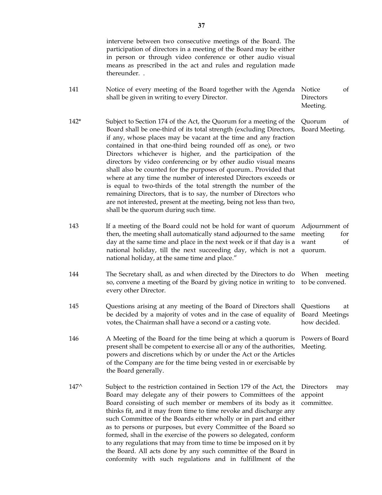intervene between two consecutive meetings of the Board. The participation of directors in a meeting of the Board may be either in person or through video conference or other audio visual means as prescribed in the act and rules and regulation made thereunder. .

141 Notice of every meeting of the Board together with the Agenda shall be given in writing to every Director. Notice of **Directors** 

Meeting.

142\* Subject to Section 174 of the Act, the Quorum for a meeting of the Board shall be one-third of its total strength (excluding Directors, if any, whose places may be vacant at the time and any fraction contained in that one-third being rounded off as one), or two Directors whichever is higher, and the participation of the directors by video conferencing or by other audio visual means shall also be counted for the purposes of quorum.. Provided that where at any time the number of interested Directors exceeds or is equal to two-thirds of the total strength the number of the remaining Directors, that is to say, the number of Directors who are not interested, present at the meeting, being not less than two, shall be the quorum during such time. Quorum of Board Meeting.

- 143 If a meeting of the Board could not be hold for want of quorum then, the meeting shall automatically stand adjourned to the same day at the same time and place in the next week or if that day is a national holiday, till the next succeeding day, which is not a national holiday, at the same time and place." Adjournment of meeting for want of quorum.
- 144 The Secretary shall, as and when directed by the Directors to do so, convene a meeting of the Board by giving notice in writing to every other Director. When meeting to be convened.
- 145 Questions arising at any meeting of the Board of Directors shall be decided by a majority of votes and in the case of equality of votes, the Chairman shall have a second or a casting vote. Questions at Board Meetings how decided.
- 146 A Meeting of the Board for the time being at which a quorum is present shall be competent to exercise all or any of the authorities, powers and discretions which by or under the Act or the Articles of the Company are for the time being vested in or exercisable by the Board generally. Powers of Board Meeting.
- 147^ Subject to the restriction contained in Section 179 of the Act, the Board may delegate any of their powers to Committees of the Board consisting of such member or members of its body as it thinks fit, and it may from time to time revoke and discharge any such Committee of the Boards either wholly or in part and either as to persons or purposes, but every Committee of the Board so formed, shall in the exercise of the powers so delegated, conform to any regulations that may from time to time be imposed on it by the Board. All acts done by any such committee of the Board in conformity with such regulations and in fulfillment of the Directors may appoint committee.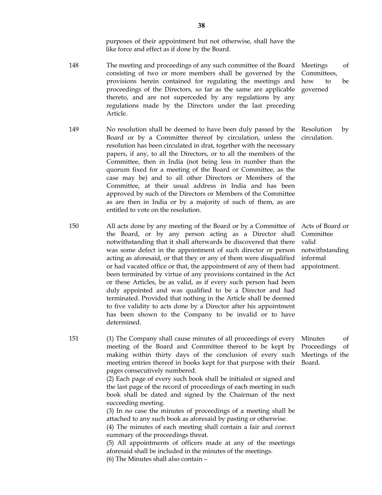purposes of their appointment but not otherwise, shall have the like force and effect as if done by the Board.

- 148 The meeting and proceedings of any such committee of the Board consisting of two or more members shall be governed by the provisions herein contained for regulating the meetings and proceedings of the Directors, so far as the same are applicable thereto, and are not superceded by any regulations by any regulations made by the Directors under the last preceding Article. Meetings of Committees, how to be governed
- 149 No resolution shall be deemed to have been duly passed by the Board or by a Committee thereof by circulation, unless the resolution has been circulated in drat, together with the necessary papers, if any, to all the Directors, or to all the members of the Committee, then in India (not being less in number than the quorum fixed for a meeting of the Board or Committee, as the case may be) and to all other Directors or Members of the Committee, at their usual address in India and has been approved by such of the Directors or Members of the Committee as are then in India or by a majority of such of them, as are entitled to vote on the resolution. Resolution by circulation.
- 150 All acts done by any meeting of the Board or by a Committee of the Board, or by any person acting as a Director shall notwithstanding that it shall afterwards be discovered that there was some defect in the appointment of such director or person acting as aforesaid, or that they or any of them were disqualified or had vacated office or that, the appointment of any of them had been terminated by virtue of any provisions contained in the Act or these Articles, be as valid, as if every such person had been duly appointed and was qualified to be a Director and had terminated. Provided that nothing in the Article shall be deemed to five validity to acts done by a Director after his appointment has been shown to the Company to be invalid or to have determined. Acts of Board or Committee valid notwithstanding informal appointment.
- 151 (1) The Company shall cause minutes of all proceedings of every meeting of the Board and Committee thereof to be kept by making within thirty days of the conclusion of every such meeting entries thereof in books kept for that purpose with their pages consecutively numbered.

 (2) Each page of every such book shall be initialed or signed and the last page of the record of proceedings of each meeting in such book shall be dated and signed by the Chairman of the next succeeding meeting.

 (3) In no case the minutes of proceedings of a meeting shall be attached to any such book as aforesaid by pasting or otherwise.

 (4) The minutes of each meeting shall contain a fair and correct summary of the proceedings threat.

 (5) All appointments of officers made at any of the meetings aforesaid shall be included in the minutes of the meetings.

(6) The Minutes shall also contain –

Minutes of Proceedings of Meetings of the Board.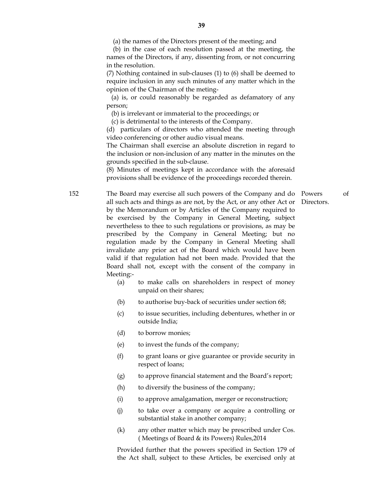(a) the names of the Directors present of the meeting; and

 (b) in the case of each resolution passed at the meeting, the names of the Directors, if any, dissenting from, or not concurring in the resolution.

 (7) Nothing contained in sub-clauses (1) to (6) shall be deemed to require inclusion in any such minutes of any matter which in the opinion of the Chairman of the meting-

 (a) is, or could reasonably be regarded as defamatory of any person;

(b) is irrelevant or immaterial to the proceedings; or

(c) is detrimental to the interests of the Company.

(d) particulars of directors who attended the meeting through video conferencing or other audio visual means.

The Chairman shall exercise an absolute discretion in regard to the inclusion or non-inclusion of any matter in the minutes on the grounds specified in the sub-clause.

 (8) Minutes of meetings kept in accordance with the aforesaid provisions shall be evidence of the proceedings recorded therein.

152 The Board may exercise all such powers of the Company and do Powers of all such acts and things as are not, by the Act, or any other Act or by the Memorandum or by Articles of the Company required to be exercised by the Company in General Meeting, subject nevertheless to thee to such regulations or provisions, as may be prescribed by the Company in General Meeting; but no regulation made by the Company in General Meeting shall invalidate any prior act of the Board which would have been valid if that regulation had not been made. Provided that the Board shall not, except with the consent of the company in Meeting:- Directors.

- (a) to make calls on shareholders in respect of money unpaid on their shares;
- (b) to authorise buy-back of securities under section 68;
- (c) to issue securities, including debentures, whether in or outside India;
- (d) to borrow monies;
- (e) to invest the funds of the company;
- (f) to grant loans or give guarantee or provide security in respect of loans;
- (g) to approve financial statement and the Board's report;
- (h) to diversify the business of the company;
- (i) to approve amalgamation, merger or reconstruction;
- (j) to take over a company or acquire a controlling or substantial stake in another company;
- (k) any other matter which may be prescribed under Cos. ( Meetings of Board & its Powers) Rules,2014

Provided further that the powers specified in Section 179 of the Act shall, subject to these Articles, be exercised only at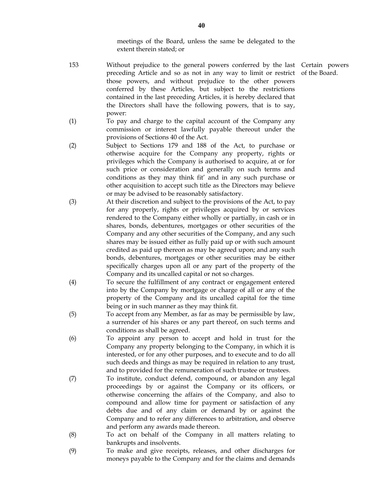meetings of the Board, unless the same be delegated to the extent therein stated; or

- 153 Without prejudice to the general powers conferred by the last Certain powers preceding Article and so as not in any way to limit or restrict of the Board. those powers, and without prejudice to the other powers conferred by these Articles, but subject to the restrictions contained in the last preceding Articles, it is hereby declared that the Directors shall have the following powers, that is to say, power:
- (1) To pay and charge to the capital account of the Company any commission or interest lawfully payable thereout under the provisions of Sections 40 of the Act.
- (2) Subject to Sections 179 and 188 of the Act, to purchase or otherwise acquire for the Company any property, rights or privileges which the Company is authorised to acquire, at or for such price or consideration and generally on such terms and conditions as they may think fit' and in any such purchase or other acquisition to accept such title as the Directors may believe or may be advised to be reasonably satisfactory.
- (3) At their discretion and subject to the provisions of the Act, to pay for any properly, rights or privileges acquired by or services rendered to the Company either wholly or partially, in cash or in shares, bonds, debentures, mortgages or other securities of the Company and any other securities of the Company, and any such shares may be issued either as fully paid up or with such amount credited as paid up thereon as may be agreed upon; and any such bonds, debentures, mortgages or other securities may be either specifically charges upon all or any part of the property of the Company and its uncalled capital or not so charges.
- (4) To secure the fulfillment of any contract or engagement entered into by the Company by mortgage or charge of all or any of the property of the Company and its uncalled capital for the time being or in such manner as they may think fit.
- (5) To accept from any Member, as far as may be permissible by law, a surrender of his shares or any part thereof, on such terms and conditions as shall be agreed.
- (6) To appoint any person to accept and hold in trust for the Company any property belonging to the Company, in which it is interested, or for any other purposes, and to execute and to do all such deeds and things as may be required in relation to any trust, and to provided for the remuneration of such trustee or trustees.
- (7) To institute, conduct defend, compound, or abandon any legal proceedings by or against the Company or its officers, or otherwise concerning the affairs of the Company, and also to compound and allow time for payment or satisfaction of any debts due and of any claim or demand by or against the Company and to refer any differences to arbitration, and observe and perform any awards made thereon.
- (8) To act on behalf of the Company in all matters relating to bankrupts and insolvents.
- (9) To make and give receipts, releases, and other discharges for moneys payable to the Company and for the claims and demands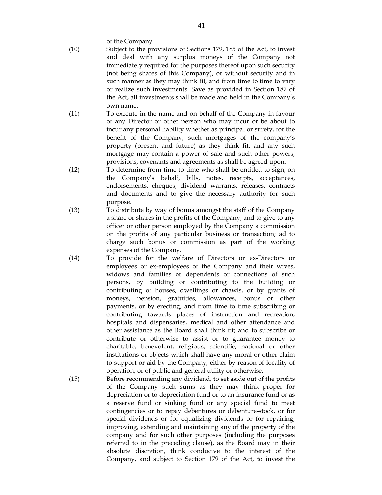of the Company.

- (10) Subject to the provisions of Sections 179, 185 of the Act, to invest and deal with any surplus moneys of the Company not immediately required for the purposes thereof upon such security (not being shares of this Company), or without security and in such manner as they may think fit, and from time to time to vary or realize such investments. Save as provided in Section 187 of the Act, all investments shall be made and held in the Company's own name.
- (11) To execute in the name and on behalf of the Company in favour of any Director or other person who may incur or be about to incur any personal liability whether as principal or surety, for the benefit of the Company, such mortgages of the company's property (present and future) as they think fit, and any such mortgage may contain a power of sale and such other powers, provisions, covenants and agreements as shall be agreed upon.
- (12) To determine from time to time who shall be entitled to sign, on the Company's behalf, bills, notes, receipts, acceptances, endorsements, cheques, dividend warrants, releases, contracts and documents and to give the necessary authority for such purpose.
- (13) To distribute by way of bonus amongst the staff of the Company a share or shares in the profits of the Company, and to give to any officer or other person employed by the Company a commission on the profits of any particular business or transaction; ad to charge such bonus or commission as part of the working expenses of the Company.
- (14) To provide for the welfare of Directors or ex-Directors or employees or ex-employees of the Company and their wives, widows and families or dependents or connections of such persons, by building or contributing to the building or contributing of houses, dwellings or chawls, or by grants of moneys, pension, gratuities, allowances, bonus or other payments, or by erecting, and from time to time subscribing or contributing towards places of instruction and recreation, hospitals and dispensaries, medical and other attendance and other assistance as the Board shall think fit; and to subscribe or contribute or otherwise to assist or to guarantee money to charitable, benevolent, religious, scientific, national or other institutions or objects which shall have any moral or other claim to support or aid by the Company, either by reason of locality of operation, or of public and general utility or otherwise.
- (15) Before recommending any dividend, to set aside out of the profits of the Company such sums as they may think proper for depreciation or to depreciation fund or to an insurance fund or as a reserve fund or sinking fund or any special fund to meet contingencies or to repay debentures or debenture-stock, or for special dividends or for equalizing dividends or for repairing, improving, extending and maintaining any of the property of the company and for such other purposes (including the purposes referred to in the preceding clause), as the Board may in their absolute discretion, think conducive to the interest of the Company, and subject to Section 179 of the Act, to invest the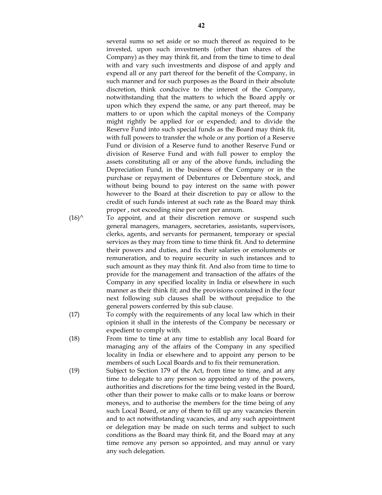several sums so set aside or so much thereof as required to be invested, upon such investments (other than shares of the Company) as they may think fit, and from the time to time to deal with and vary such investments and dispose of and apply and expend all or any part thereof for the benefit of the Company, in such manner and for such purposes as the Board in their absolute discretion, think conducive to the interest of the Company, notwithstanding that the matters to which the Board apply or upon which they expend the same, or any part thereof, may be matters to or upon which the capital moneys of the Company might rightly be applied for or expended; and to divide the Reserve Fund into such special funds as the Board may think fit, with full powers to transfer the whole or any portion of a Reserve Fund or division of a Reserve fund to another Reserve Fund or division of Reserve Fund and with full power to employ the assets constituting all or any of the above funds, including the Depreciation Fund, in the business of the Company or in the purchase or repayment of Debentures or Debenture stock, and without being bound to pay interest on the same with power however to the Board at their discretion to pay or allow to the credit of such funds interest at such rate as the Board may think proper , not exceeding nine per cent per annum.

- $(16)^\wedge$  To appoint, and at their discretion remove or suspend such general managers, managers, secretaries, assistants, supervisors, clerks, agents, and servants for permanent, temporary or special services as they may from time to time think fit. And to determine their powers and duties, and fix their salaries or emoluments or remuneration, and to require security in such instances and to such amount as they may think fit. And also from time to time to provide for the management and transaction of the affairs of the Company in any specified locality in India or elsewhere in such manner as their think fit; and the provisions contained in the four next following sub clauses shall be without prejudice to the general powers conferred by this sub clause.
- (17) To comply with the requirements of any local law which in their opinion it shall in the interests of the Company be necessary or expedient to comply with.
- (18) From time to time at any time to establish any local Board for managing any of the affairs of the Company in any specified locality in India or elsewhere and to appoint any person to be members of such Local Boards and to fix their remuneration.
- (19) Subject to Section 179 of the Act, from time to time, and at any time to delegate to any person so appointed any of the powers, authorities and discretions for the time being vested in the Board, other than their power to make calls or to make loans or borrow moneys, and to authorise the members for the time being of any such Local Board, or any of them to fill up any vacancies therein and to act notwithstanding vacancies, and any such appointment or delegation may be made on such terms and subject to such conditions as the Board may think fit, and the Board may at any time remove any person so appointed, and may annul or vary any such delegation.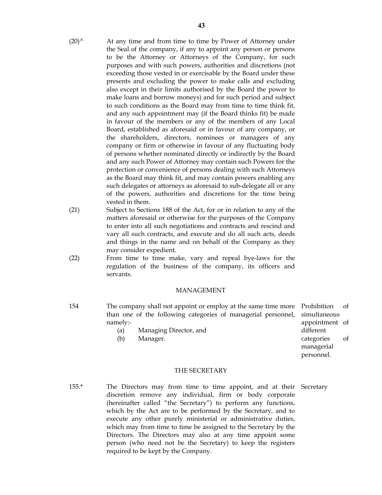- $(20)^\wedge$  At any time and from time to time by Power of Attorney under the Seal of the company, if any to appoint any person or persons to be the Attorney or Attorneys of the Company, for such purposes and with such powers, authorities and discretions (not exceeding those vested in or exercisable by the Board under these presents and excluding the power to make calls and excluding also except in their limits authorised by the Board the power to make loans and borrow moneys) and for such period and subject to such conditions as the Board may from time to time think fit, and any such appointment may (if the Board thinks fit) be made in favour of the members or any of the members of any Local Board, established as aforesaid or in favour of any company, or the shareholders, directors, nominees or managers of any company or firm or otherwise in favour of any fluctuating body of persons whether nominated directly or indirectly by the Board and any such Power of Attorney may contain such Powers for the protection or convenience of persons dealing with such Attorneys as the Board may think fit, and may contain powers enabling any such delegates or attorneys as aforesaid to sub-delegate all or any of the powers, authorities and discretions for the time being vested in them.
- (21) Subject to Sections 188 of the Act, for or in relation to any of the matters aforesaid or otherwise for the purposes of the Company to enter into all such negotiations and contracts and rescind and vary all such contracts, and execute and do all such acts, deeds and things in the name and on behalf of the Company as they may consider expedient.
- (22) From time to time make, vary and repeal bye-laws for the regulation of the business of the company, its officers and servants.

#### MANAGEMENT

- 154 The company shall not appoint or employ at the same time more than one of the following categories of managerial personnel, namely:- Prohibition of
	- (a) Managing Director, and
	- (b) Manager.

simultaneous appointment of different categories of managerial personnel.

#### THE SECRETARY

155.\* The Directors may from time to time appoint, and at their Secretary discretion remove any individual, firm or body corporate (hereinafter called "the Secretary") to perform any functions, which by the Act are to be performed by the Secretary, and to execute any other purely ministerial or administrative duties, which may from time to time be assigned to the Secretary by the Directors. The Directors may also at any time appoint some person (who need not be the Secretary) to keep the registers required to be kept by the Company.

**43**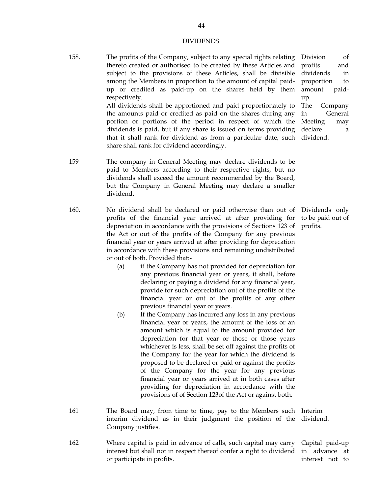### DIVIDENDS

- 158. The profits of the Company, subject to any special rights relating thereto created or authorised to be created by these Articles and subject to the provisions of these Articles, shall be divisible among the Members in proportion to the amount of capital paidup or credited as paid-up on the shares held by them respectively. Division of profits and dividends in proportion to amount paidup. All dividends shall be apportioned and paid proportionately to the amounts paid or credited as paid on the shares during any portion or portions of the period in respect of which the dividends is paid, but if any share is issued on terms providing that it shall rank for dividend as from a particular date, such share shall rank for dividend accordingly. The Company in General Meeting may declare a dividend.
- 159 The company in General Meeting may declare dividends to be paid to Members according to their respective rights, but no dividends shall exceed the amount recommended by the Board, but the Company in General Meeting may declare a smaller dividend.
- 160. No dividend shall be declared or paid otherwise than out of profits of the financial year arrived at after providing for depreciation in accordance with the provisions of Sections 123 of the Act or out of the profits of the Company for any previous financial year or years arrived at after providing for deprecation in accordance with these provisions and remaining undistributed or out of both. Provided that:- Dividends only
	- (a) if the Company has not provided for depreciation for any previous financial year or years, it shall, before declaring or paying a dividend for any financial year, provide for such depreciation out of the profits of the financial year or out of the profits of any other previous financial year or years.
	- (b) If the Company has incurred any loss in any previous financial year or years, the amount of the loss or an amount which is equal to the amount provided for depreciation for that year or those or those years whichever is less, shall be set off against the profits of the Company for the year for which the dividend is proposed to be declared or paid or against the profits of the Company for the year for any previous financial year or years arrived at in both cases after providing for depreciation in accordance with the provisions of of Section 123of the Act or against both.
- 161 The Board may, from time to time, pay to the Members such Interim interim dividend as in their judgment the position of the Company justifies. dividend.
- 162 Where capital is paid in advance of calls, such capital may carry interest but shall not in respect thereof confer a right to dividend or participate in profits. in advance at interest not to

Capital paid-up

to be paid out of profits.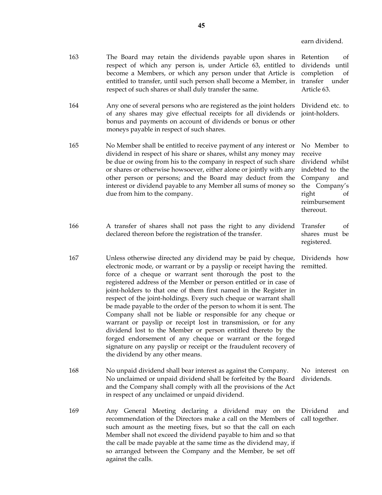entitled to transfer, until such person shall become a Member, in respect of such shares or shall duly transfer the same. transfer under Article 63. 164 Any one of several persons who are registered as the joint holders of any shares may give effectual receipts for all dividends or bonus and payments on account of dividends or bonus or other moneys payable in respect of such shares. Dividend etc. to joint-holders. 165 No Member shall be entitled to receive payment of any interest or dividend in respect of his share or shares, whilst any money may be due or owing from his to the company in respect of such share or shares or otherwise howsoever, either alone or jointly with any other person or persons; and the Board may deduct from the interest or dividend payable to any Member all sums of money so due from him to the company. No Member to receive dividend whilst indebted to the Company and the Company's right of reimbursement thereout. 166 A transfer of shares shall not pass the right to any dividend declared thereon before the registration of the transfer. Transfer of shares must be registered. 167 Unless otherwise directed any dividend may be paid by cheque, electronic mode, or warrant or by a payslip or receipt having the force of a cheque or warrant sent thorough the post to the registered address of the Member or person entitled or in case of joint-holders to that one of them first named in the Register in respect of the joint-holdings. Every such cheque or warrant shall be made payable to the order of the person to whom it is sent. The Company shall not be liable or responsible for any cheque or warrant or payslip or receipt lost in transmission, or for any dividend lost to the Member or person entitled thereto by the forged endorsement of any cheque or warrant or the forged signature on any payslip or receipt or the fraudulent recovery of the dividend by any other means. Dividends how remitted. 168 No unpaid dividend shall bear interest as against the Company. No unclaimed or unpaid dividend shall be forfeited by the Board and the Company shall comply with all the provisions of the Act in respect of any unclaimed or unpaid dividend. No interest on dividends. 169 Any General Meeting declaring a dividend may on the Dividend and call together.

recommendation of the Directors make a call on the Members of such amount as the meeting fixes, but so that the call on each Member shall not exceed the dividend payable to him and so that the call be made payable at the same time as the dividend may, if so arranged between the Company and the Member, be set off against the calls.

respect of which any person is, under Article 63, entitled to become a Members, or which any person under that Article is

163 The Board may retain the dividends payable upon shares in

earn dividend.

Retention of dividends until completion of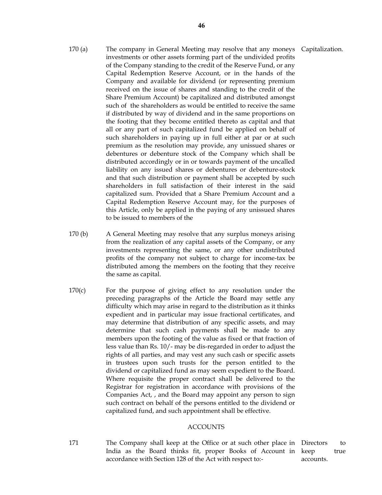- 170 (a) The company in General Meeting may resolve that any moneys Capitalization. investments or other assets forming part of the undivided profits of the Company standing to the credit of the Reserve Fund, or any Capital Redemption Reserve Account, or in the hands of the Company and available for dividend (or representing premium received on the issue of shares and standing to the credit of the Share Premium Account) be capitalized and distributed amongst such of the shareholders as would be entitled to receive the same if distributed by way of dividend and in the same proportions on the footing that they become entitled thereto as capital and that all or any part of such capitalized fund be applied on behalf of such shareholders in paying up in full either at par or at such premium as the resolution may provide, any unissued shares or debentures or debenture stock of the Company which shall be distributed accordingly or in or towards payment of the uncalled liability on any issued shares or debentures or debenture-stock and that such distribution or payment shall be accepted by such shareholders in full satisfaction of their interest in the said capitalized sum. Provided that a Share Premium Account and a Capital Redemption Reserve Account may, for the purposes of this Article, only be applied in the paying of any unissued shares to be issued to members of the
- 170 (b) A General Meeting may resolve that any surplus moneys arising from the realization of any capital assets of the Company, or any investments representing the same, or any other undistributed profits of the company not subject to charge for income-tax be distributed among the members on the footing that they receive the same as capital.
- 170(c) For the purpose of giving effect to any resolution under the preceding paragraphs of the Article the Board may settle any difficulty which may arise in regard to the distribution as it thinks expedient and in particular may issue fractional certificates, and may determine that distribution of any specific assets, and may determine that such cash payments shall be made to any members upon the footing of the value as fixed or that fraction of less value than Rs. 10/- may be dis-regarded in order to adjust the rights of all parties, and may vest any such cash or specific assets in trustees upon such trusts for the person entitled to the dividend or capitalized fund as may seem expedient to the Board. Where requisite the proper contract shall be delivered to the Registrar for registration in accordance with provisions of the Companies Act, , and the Board may appoint any person to sign such contract on behalf of the persons entitled to the dividend or capitalized fund, and such appointment shall be effective.

## ACCOUNTS

171 The Company shall keep at the Office or at such other place in Directors to India as the Board thinks fit, proper Books of Account in keep true accordance with Section 128 of the Act with respect to: accounts.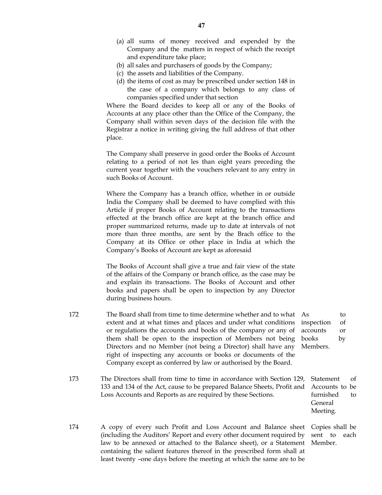- (a) all sums of money received and expended by the Company and the matters in respect of which the receipt and expenditure take place;
- (b) all sales and purchasers of goods by the Company;
- (c) the assets and liabilities of the Company.
- (d) the items of cost as may be prescribed under section 148 in the case of a company which belongs to any class of companies specified under that section

 Where the Board decides to keep all or any of the Books of Accounts at any place other than the Office of the Company, the Company shall within seven days of the decision file with the Registrar a notice in writing giving the full address of that other place.

The Company shall preserve in good order the Books of Account relating to a period of not les than eight years preceding the current year together with the vouchers relevant to any entry in such Books of Account.

Where the Company has a branch office, whether in or outside India the Company shall be deemed to have complied with this Article if proper Books of Account relating to the transactions effected at the branch office are kept at the branch office and proper summarized returns, made up to date at intervals of not more than three months, are sent by the Brach office to the Company at its Office or other place in India at which the Company's Books of Account are kept as aforesaid

The Books of Account shall give a true and fair view of the state of the affairs of the Company or branch office, as the case may be and explain its transactions. The Books of Account and other books and papers shall be open to inspection by any Director during business hours.

- 172 The Board shall from time to time determine whether and to what extent and at what times and places and under what conditions or regulations the accounts and books of the company or any of them shall be open to the inspection of Members not being Directors and no Member (not being a Director) shall have any right of inspecting any accounts or books or documents of the Company except as conferred by law or authorised by the Board. As to inspection of accounts or books by Members.
- 173 The Directors shall from time to time in accordance with Section 129, 133 and 134 of the Act, cause to be prepared Balance Sheets, Profit and Loss Accounts and Reports as are required by these Sections. Statement of Accounts to be furnished to General
- 174 A copy of every such Profit and Loss Account and Balance sheet (including the Auditors' Report and every other document required by law to be annexed or attached to the Balance sheet), or a Statement Member. containing the salient features thereof in the prescribed form shall at least twenty –one days before the meeting at which the same are to be

Copies shall be sent to each

Meeting.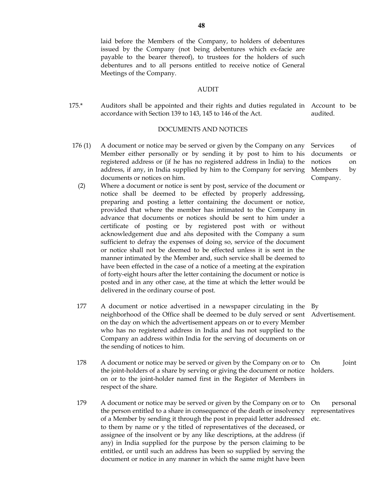**48**

laid before the Members of the Company, to holders of debentures issued by the Company (not being debentures which ex-facie are payable to the bearer thereof), to trustees for the holders of such debentures and to all persons entitled to receive notice of General Meetings of the Company.

# AUDIT

175.\* Auditors shall be appointed and their rights and duties regulated in Account to be accordance with Section 139 to 143, 145 to 146 of the Act. audited.

### DOCUMENTS AND NOTICES

- 176 (1) A document or notice may be served or given by the Company on any Member either personally or by sending it by post to him to his registered address or (if he has no registered address in India) to the address, if any, in India supplied by him to the Company for serving documents or notices on him. Services of documents or notices on Members by Company.
	- (2) Where a document or notice is sent by post, service of the document or notice shall be deemed to be effected by properly addressing, preparing and posting a letter containing the document or notice, provided that where the member has intimated to the Company in advance that documents or notices should be sent to him under a certificate of posting or by registered post with or without acknowledgement due and ahs deposited with the Company a sum sufficient to defray the expenses of doing so, service of the document or notice shall not be deemed to be effected unless it is sent in the manner intimated by the Member and, such service shall be deemed to have been effected in the case of a notice of a meeting at the expiration of forty-eight hours after the letter containing the document or notice is posted and in any other case, at the time at which the letter would be delivered in the ordinary course of post.
	- 177 A document or notice advertised in a newspaper circulating in the neighborhood of the Office shall be deemed to be duly served or sent on the day on which the advertisement appears on or to every Member who has no registered address in India and has not supplied to the Company an address within India for the serving of documents on or the sending of notices to him. By Advertisement.
	- 178 A document or notice may be served or given by the Company on or to the joint-holders of a share by serving or giving the document or notice on or to the joint-holder named first in the Register of Members in respect of the share. On Joint holders.
	- 179 A document or notice may be served or given by the Company on or to the person entitled to a share in consequence of the death or insolvency of a Member by sending it through the post in prepaid letter addressed to them by name or y the titled of representatives of the deceased, or assignee of the insolvent or by any like descriptions, at the address (if any) in India supplied for the purpose by the person claiming to be entitled, or until such an address has been so supplied by serving the document or notice in any manner in which the same might have been On personal representatives etc.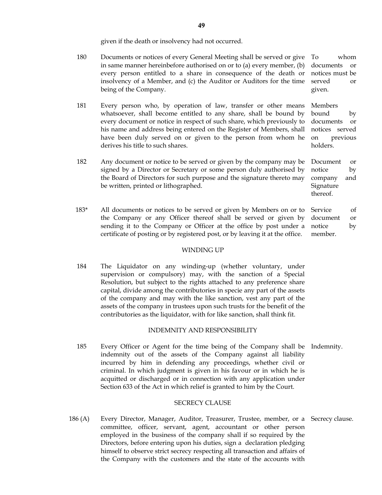given if the death or insolvency had not occurred.

- 180 Documents or notices of every General Meeting shall be served or give in same manner hereinbefore authorised on or to (a) every member, (b) every person entitled to a share in consequence of the death or insolvency of a Member, and (c) the Auditor or Auditors for the time being of the Company. given.
- 181 Every person who, by operation of law, transfer or other means whatsoever, shall become entitled to any share, shall be bound by every document or notice in respect of such share, which previously to his name and address being entered on the Register of Members, shall have been duly served on or given to the person from whom he derives his title to such shares.
- 182 Any document or notice to be served or given by the company may be signed by a Director or Secretary or some person duly authorised by the Board of Directors for such purpose and the signature thereto may be written, printed or lithographed. Document or notice by company and
- 183\* All documents or notices to be served or given by Members on or to the Company or any Officer thereof shall be served or given by sending it to the Company or Officer at the office by post under a certificate of posting or by registered post, or by leaving it at the office. member.

### WINDING UP

184 The Liquidator on any winding-up (whether voluntary, under supervision or compulsory) may, with the sanction of a Special Resolution, but subject to the rights attached to any preference share capital, divide among the contributories in specie any part of the assets of the company and may with the like sanction, vest any part of the assets of the company in trustees upon such trusts for the benefit of the contributories as the liquidator, with for like sanction, shall think fit.

# INDEMNITY AND RESPONSIBILITY

185 Every Officer or Agent for the time being of the Company shall be Indemnity. indemnity out of the assets of the Company against all liability incurred by him in defending any proceedings, whether civil or criminal. In which judgment is given in his favour or in which he is acquitted or discharged or in connection with any application under Section 633 of the Act in which relief is granted to him by the Court.

### SECRECY CLAUSE

186 (A) Every Director, Manager, Auditor, Treasurer, Trustee, member, or a Secrecy clause. committee, officer, servant, agent, accountant or other person employed in the business of the company shall if so required by the Directors, before entering upon his duties, sign a declaration pledging himself to observe strict secrecy respecting all transaction and affairs of the Company with the customers and the state of the accounts with

Signature thereof. Service of

document or notice by

To whom documents or notices must be served or

Members bound by documents or notices served on previous holders.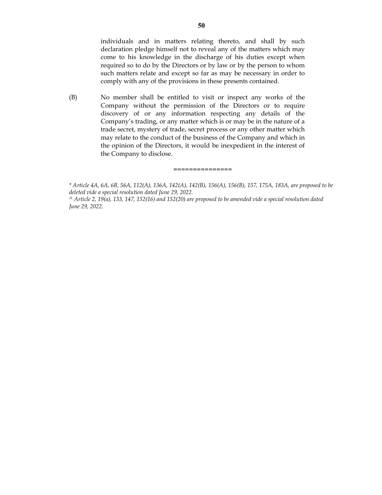individuals and in matters relating thereto, and shall by such declaration pledge himself not to reveal any of the matters which may come to his knowledge in the discharge of his duties except when required so to do by the Directors or by law or by the person to whom such matters relate and except so far as may be necessary in order to comply with any of the provisions in these presents contained.

(B) No member shall be entitled to visit or inspect any works of the Company without the permission of the Directors or to require discovery of or any information respecting any details of the Company's trading, or any matter which is or may be in the nature of a trade secret, mystery of trade, secret process or any other matter which may relate to the conduct of the business of the Company and which in the opinion of the Directors, it would be inexpedient in the interest of the Company to disclose.

===============

*\* Article 4A, 6A, 6B, 56A, 112(A), 136A, 142(A), 142(B), 156(A), 156(B), 157, 175A, 183A, are proposed to be deleted vide a special resolution dated June 29, 2022.* 

*^ Article 2, 19(a), 133, 147, 152(16) and 152(20) are proposed to be amended vide a special resolution dated June 29, 2022.*